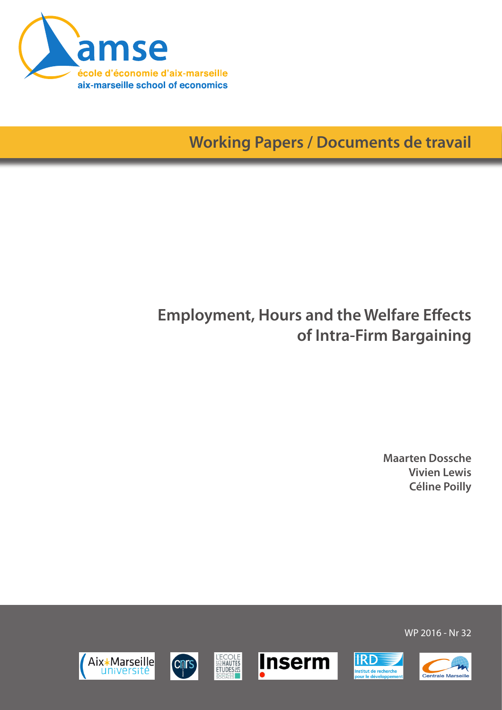

**Working Papers / Documents de travail**

## **Employment, Hours and the Welfare Effects of Intra-Firm Bargaining**

**Maarten Dossche Vivien Lewis Céline Poilly**

WP 2016 - Nr 32











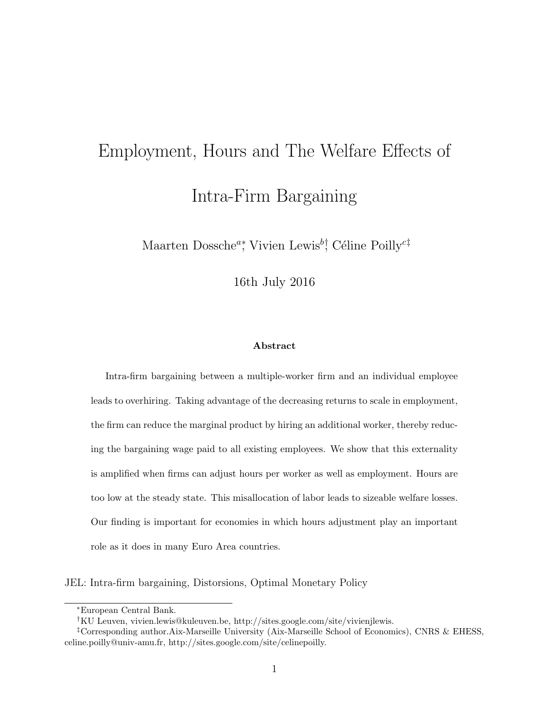# Employment, Hours and The Welfare Effects of Intra-Firm Bargaining

Maarten Dossche<sup>a</sup>\*, Vivien Lewis<sup>b†</sup>, Céline Poilly<sup>c‡</sup>

16th July 2016

#### Abstract

Intra-firm bargaining between a multiple-worker firm and an individual employee leads to overhiring. Taking advantage of the decreasing returns to scale in employment, the firm can reduce the marginal product by hiring an additional worker, thereby reducing the bargaining wage paid to all existing employees. We show that this externality is amplified when firms can adjust hours per worker as well as employment. Hours are too low at the steady state. This misallocation of labor leads to sizeable welfare losses. Our finding is important for economies in which hours adjustment play an important role as it does in many Euro Area countries.

JEL: Intra-firm bargaining, Distorsions, Optimal Monetary Policy

<sup>∗</sup>European Central Bank.

<sup>†</sup>KU Leuven, vivien.lewis@kuleuven.be, http://sites.google.com/site/vivienjlewis.

<sup>‡</sup>Corresponding author.Aix-Marseille University (Aix-Marseille School of Economics), CNRS & EHESS, celine.poilly@univ-amu.fr, http://sites.google.com/site/celinepoilly.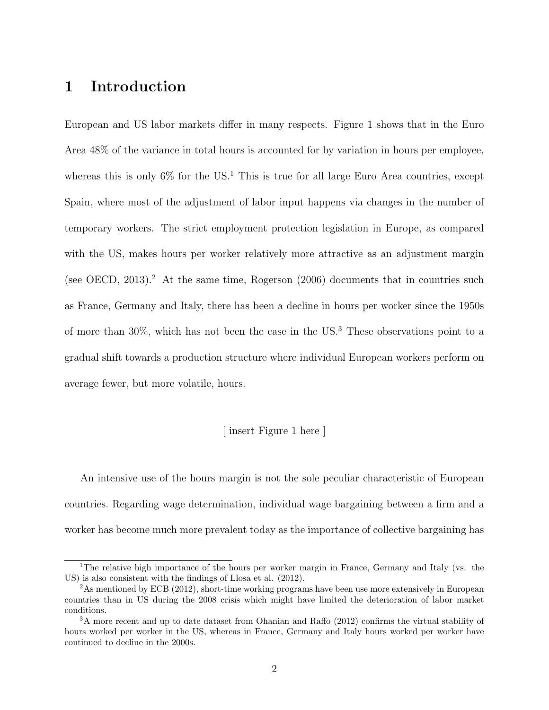## 1 Introduction

European and US labor markets differ in many respects. Figure 1 shows that in the Euro Area 48% of the variance in total hours is accounted for by variation in hours per employee, whereas this is only  $6\%$  for the US.<sup>1</sup> This is true for all large Euro Area countries, except Spain, where most of the adjustment of labor input happens via changes in the number of temporary workers. The strict employment protection legislation in Europe, as compared with the US, makes hours per worker relatively more attractive as an adjustment margin (see OECD,  $2013$ ).<sup>2</sup> At the same time, Rogerson  $(2006)$  documents that in countries such as France, Germany and Italy, there has been a decline in hours per worker since the 1950s of more than  $30\%$ , which has not been the case in the US.<sup>3</sup> These observations point to a gradual shift towards a production structure where individual European workers perform on average fewer, but more volatile, hours.

#### [ insert Figure 1 here ]

An intensive use of the hours margin is not the sole peculiar characteristic of European countries. Regarding wage determination, individual wage bargaining between a firm and a worker has become much more prevalent today as the importance of collective bargaining has

<sup>&</sup>lt;sup>1</sup>The relative high importance of the hours per worker margin in France, Germany and Italy (vs. the US) is also consistent with the findings of Llosa et al. (2012).

<sup>&</sup>lt;sup>2</sup>As mentioned by ECB (2012), short-time working programs have been use more extensively in European countries than in US during the 2008 crisis which might have limited the deterioration of labor market conditions.

<sup>3</sup>A more recent and up to date dataset from Ohanian and Raffo (2012) confirms the virtual stability of hours worked per worker in the US, whereas in France, Germany and Italy hours worked per worker have continued to decline in the 2000s.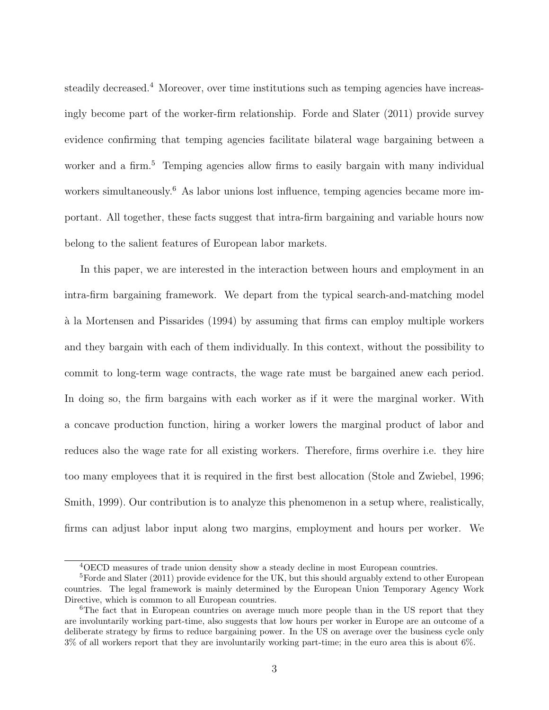steadily decreased.<sup>4</sup> Moreover, over time institutions such as temping agencies have increasingly become part of the worker-firm relationship. Forde and Slater (2011) provide survey evidence confirming that temping agencies facilitate bilateral wage bargaining between a worker and a firm.<sup>5</sup> Temping agencies allow firms to easily bargain with many individual workers simultaneously.<sup>6</sup> As labor unions lost influence, temping agencies became more important. All together, these facts suggest that intra-firm bargaining and variable hours now belong to the salient features of European labor markets.

In this paper, we are interested in the interaction between hours and employment in an intra-firm bargaining framework. We depart from the typical search-and-matching model `a la Mortensen and Pissarides (1994) by assuming that firms can employ multiple workers and they bargain with each of them individually. In this context, without the possibility to commit to long-term wage contracts, the wage rate must be bargained anew each period. In doing so, the firm bargains with each worker as if it were the marginal worker. With a concave production function, hiring a worker lowers the marginal product of labor and reduces also the wage rate for all existing workers. Therefore, firms overhire i.e. they hire too many employees that it is required in the first best allocation (Stole and Zwiebel, 1996; Smith, 1999). Our contribution is to analyze this phenomenon in a setup where, realistically, firms can adjust labor input along two margins, employment and hours per worker. We

<sup>4</sup>OECD measures of trade union density show a steady decline in most European countries.

 ${}^{5}$ Forde and Slater (2011) provide evidence for the UK, but this should arguably extend to other European countries. The legal framework is mainly determined by the European Union Temporary Agency Work Directive, which is common to all European countries.

<sup>&</sup>lt;sup>6</sup>The fact that in European countries on average much more people than in the US report that they are involuntarily working part-time, also suggests that low hours per worker in Europe are an outcome of a deliberate strategy by firms to reduce bargaining power. In the US on average over the business cycle only 3% of all workers report that they are involuntarily working part-time; in the euro area this is about 6%.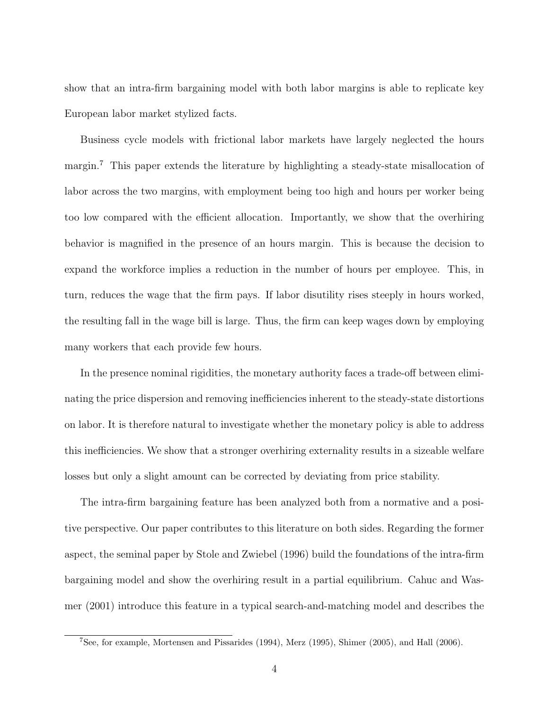show that an intra-firm bargaining model with both labor margins is able to replicate key European labor market stylized facts.

Business cycle models with frictional labor markets have largely neglected the hours margin.<sup>7</sup> This paper extends the literature by highlighting a steady-state misallocation of labor across the two margins, with employment being too high and hours per worker being too low compared with the efficient allocation. Importantly, we show that the overhiring behavior is magnified in the presence of an hours margin. This is because the decision to expand the workforce implies a reduction in the number of hours per employee. This, in turn, reduces the wage that the firm pays. If labor disutility rises steeply in hours worked, the resulting fall in the wage bill is large. Thus, the firm can keep wages down by employing many workers that each provide few hours.

In the presence nominal rigidities, the monetary authority faces a trade-off between eliminating the price dispersion and removing inefficiencies inherent to the steady-state distortions on labor. It is therefore natural to investigate whether the monetary policy is able to address this inefficiencies. We show that a stronger overhiring externality results in a sizeable welfare losses but only a slight amount can be corrected by deviating from price stability.

The intra-firm bargaining feature has been analyzed both from a normative and a positive perspective. Our paper contributes to this literature on both sides. Regarding the former aspect, the seminal paper by Stole and Zwiebel (1996) build the foundations of the intra-firm bargaining model and show the overhiring result in a partial equilibrium. Cahuc and Wasmer (2001) introduce this feature in a typical search-and-matching model and describes the

<sup>7</sup>See, for example, Mortensen and Pissarides (1994), Merz (1995), Shimer (2005), and Hall (2006).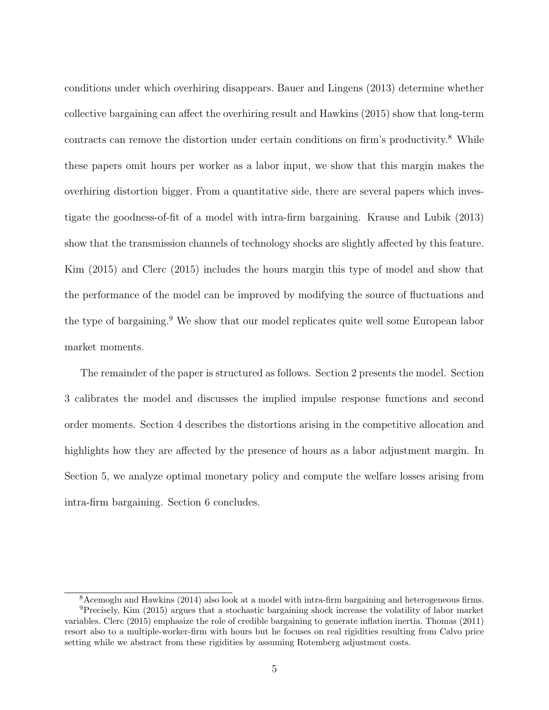conditions under which overhiring disappears. Bauer and Lingens (2013) determine whether collective bargaining can affect the overhiring result and Hawkins (2015) show that long-term contracts can remove the distortion under certain conditions on firm's productivity.<sup>8</sup> While these papers omit hours per worker as a labor input, we show that this margin makes the overhiring distortion bigger. From a quantitative side, there are several papers which investigate the goodness-of-fit of a model with intra-firm bargaining. Krause and Lubik (2013) show that the transmission channels of technology shocks are slightly affected by this feature. Kim (2015) and Clerc (2015) includes the hours margin this type of model and show that the performance of the model can be improved by modifying the source of fluctuations and the type of bargaining.<sup>9</sup> We show that our model replicates quite well some European labor market moments.

The remainder of the paper is structured as follows. Section 2 presents the model. Section 3 calibrates the model and discusses the implied impulse response functions and second order moments. Section 4 describes the distortions arising in the competitive allocation and highlights how they are affected by the presence of hours as a labor adjustment margin. In Section 5, we analyze optimal monetary policy and compute the welfare losses arising from intra-firm bargaining. Section 6 concludes.

<sup>8</sup>Acemoglu and Hawkins (2014) also look at a model with intra-firm bargaining and heterogeneous firms. <sup>9</sup>Precisely, Kim (2015) argues that a stochastic bargaining shock increase the volatility of labor market variables. Clerc (2015) emphasize the role of credible bargaining to generate inflation inertia. Thomas (2011) resort also to a multiple-worker-firm with hours but he focuses on real rigidities resulting from Calvo price setting while we abstract from these rigidities by assuming Rotemberg adjustment costs.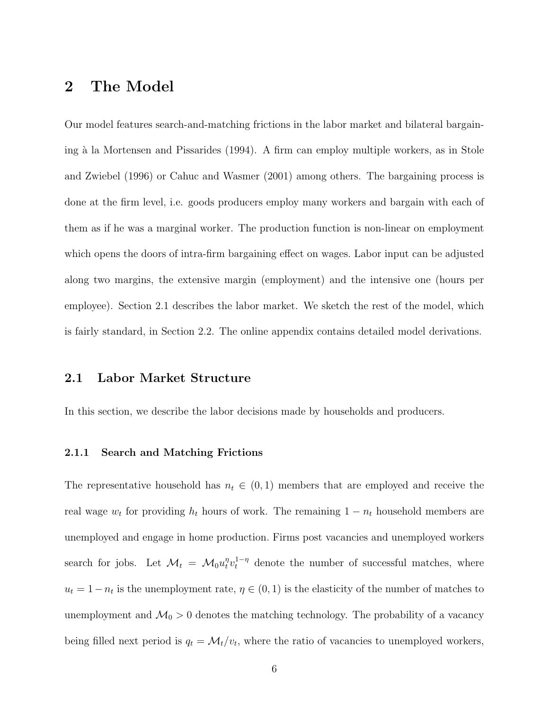## 2 The Model

Our model features search-and-matching frictions in the labor market and bilateral bargaining à la Mortensen and Pissarides (1994). A firm can employ multiple workers, as in Stole and Zwiebel (1996) or Cahuc and Wasmer (2001) among others. The bargaining process is done at the firm level, i.e. goods producers employ many workers and bargain with each of them as if he was a marginal worker. The production function is non-linear on employment which opens the doors of intra-firm bargaining effect on wages. Labor input can be adjusted along two margins, the extensive margin (employment) and the intensive one (hours per employee). Section 2.1 describes the labor market. We sketch the rest of the model, which is fairly standard, in Section 2.2. The online appendix contains detailed model derivations.

#### 2.1 Labor Market Structure

In this section, we describe the labor decisions made by households and producers.

#### 2.1.1 Search and Matching Frictions

The representative household has  $n_t \in (0,1)$  members that are employed and receive the real wage  $w_t$  for providing  $h_t$  hours of work. The remaining  $1 - n_t$  household members are unemployed and engage in home production. Firms post vacancies and unemployed workers search for jobs. Let  $\mathcal{M}_t = \mathcal{M}_0 u_t^{\eta} v_t^{1-\eta}$  denote the number of successful matches, where  $u_t = 1 - n_t$  is the unemployment rate,  $\eta \in (0, 1)$  is the elasticity of the number of matches to unemployment and  $\mathcal{M}_0 > 0$  denotes the matching technology. The probability of a vacancy being filled next period is  $q_t = \mathcal{M}_t/v_t$ , where the ratio of vacancies to unemployed workers,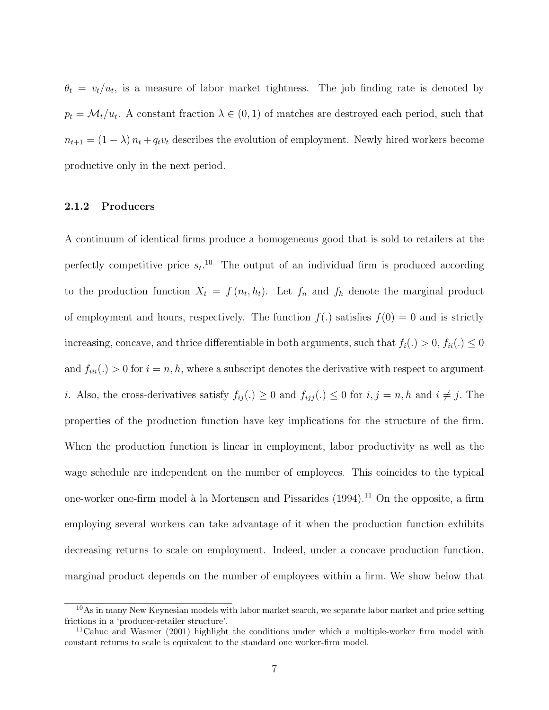$\theta_t = v_t/u_t$ , is a measure of labor market tightness. The job finding rate is denoted by  $p_t = \mathcal{M}_t/u_t$ . A constant fraction  $\lambda \in (0,1)$  of matches are destroyed each period, such that  $n_{t+1} = (1 - \lambda) n_t + q_t v_t$  describes the evolution of employment. Newly hired workers become productive only in the next period.

#### 2.1.2 Producers

A continuum of identical firms produce a homogeneous good that is sold to retailers at the perfectly competitive price  $s_t$ <sup>10</sup> The output of an individual firm is produced according to the production function  $X_t = f(n_t, h_t)$ . Let  $f_n$  and  $f_h$  denote the marginal product of employment and hours, respectively. The function  $f(.)$  satisfies  $f(0) = 0$  and is strictly increasing, concave, and thrice differentiable in both arguments, such that  $f_i(.) > 0$ ,  $f_{ii}(.) \leq 0$ and  $f_{ii}(.) > 0$  for  $i = n, h$ , where a subscript denotes the derivative with respect to argument i. Also, the cross-derivatives satisfy  $f_{ij}(.) \geq 0$  and  $f_{ijj}(.) \leq 0$  for  $i, j = n, h$  and  $i \neq j$ . The properties of the production function have key implications for the structure of the firm. When the production function is linear in employment, labor productivity as well as the wage schedule are independent on the number of employees. This coincides to the typical one-worker one-firm model à la Mortensen and Pissarides  $(1994)$ .<sup>11</sup> On the opposite, a firm employing several workers can take advantage of it when the production function exhibits decreasing returns to scale on employment. Indeed, under a concave production function, marginal product depends on the number of employees within a firm. We show below that

<sup>10</sup>As in many New Keynesian models with labor market search, we separate labor market and price setting frictions in a 'producer-retailer structure'.

<sup>&</sup>lt;sup>11</sup>Cahuc and Wasmer (2001) highlight the conditions under which a multiple-worker firm model with constant returns to scale is equivalent to the standard one worker-firm model.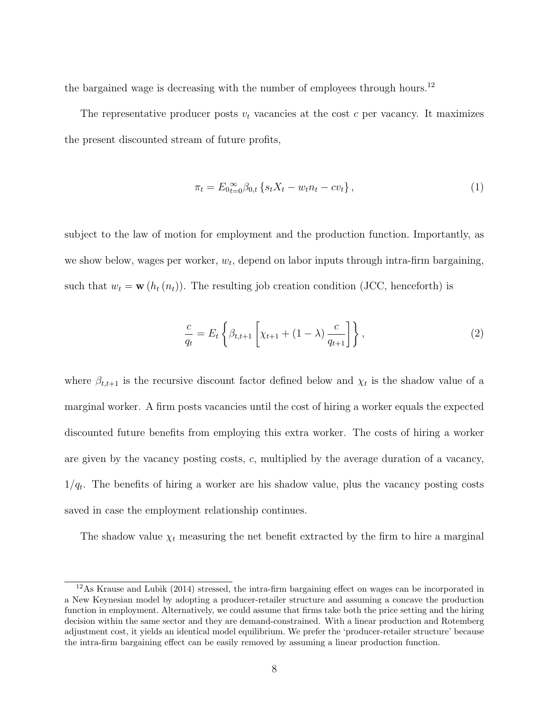the bargained wage is decreasing with the number of employees through hours.<sup>12</sup>

The representative producer posts  $v_t$  vacancies at the cost c per vacancy. It maximizes the present discounted stream of future profits,

$$
\pi_t = E_{0t=0}^{\infty} \beta_{0,t} \left\{ s_t X_t - w_t n_t - c v_t \right\},\tag{1}
$$

subject to the law of motion for employment and the production function. Importantly, as we show below, wages per worker,  $w_t$ , depend on labor inputs through intra-firm bargaining, such that  $w_t = \mathbf{w} (h_t (n_t))$ . The resulting job creation condition (JCC, henceforth) is

$$
\frac{c}{q_t} = E_t \left\{ \beta_{t,t+1} \left[ \chi_{t+1} + (1 - \lambda) \frac{c}{q_{t+1}} \right] \right\},\tag{2}
$$

where  $\beta_{t,t+1}$  is the recursive discount factor defined below and  $\chi_t$  is the shadow value of a marginal worker. A firm posts vacancies until the cost of hiring a worker equals the expected discounted future benefits from employing this extra worker. The costs of hiring a worker are given by the vacancy posting costs, c, multiplied by the average duration of a vacancy,  $1/q_t$ . The benefits of hiring a worker are his shadow value, plus the vacancy posting costs saved in case the employment relationship continues.

The shadow value  $\chi_t$  measuring the net benefit extracted by the firm to hire a marginal

<sup>12</sup>As Krause and Lubik (2014) stressed, the intra-firm bargaining effect on wages can be incorporated in a New Keynesian model by adopting a producer-retailer structure and assuming a concave the production function in employment. Alternatively, we could assume that firms take both the price setting and the hiring decision within the same sector and they are demand-constrained. With a linear production and Rotemberg adjustment cost, it yields an identical model equilibrium. We prefer the 'producer-retailer structure' because the intra-firm bargaining effect can be easily removed by assuming a linear production function.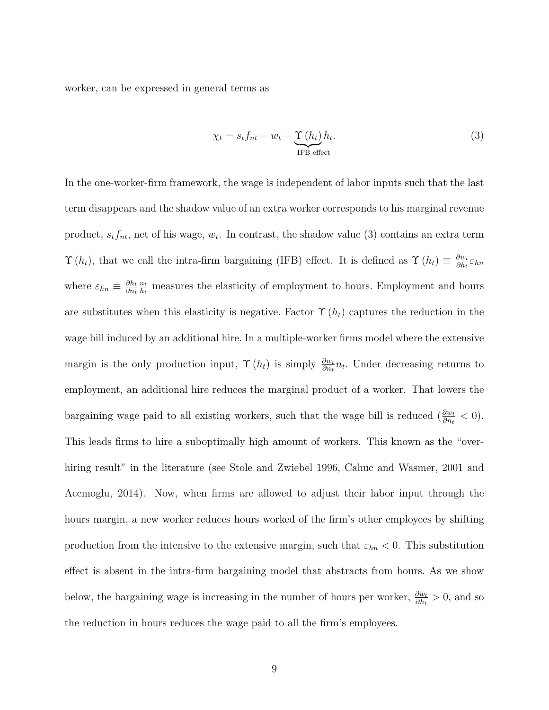worker, can be expressed in general terms as

$$
\chi_t = s_t f_{nt} - w_t - \underbrace{\Upsilon(h_t)}_{\text{IFB effect}} h_t.
$$
\n(3)

In the one-worker-firm framework, the wage is independent of labor inputs such that the last term disappears and the shadow value of an extra worker corresponds to his marginal revenue product,  $s_t f_{nt}$ , net of his wage,  $w_t$ . In contrast, the shadow value (3) contains an extra term  $\Upsilon(h_t)$ , that we call the intra-firm bargaining (IFB) effect. It is defined as  $\Upsilon(h_t) \equiv \frac{\partial w_t}{\partial h_t}$  $\frac{\partial w_t}{\partial h_t} \varepsilon_{hn}$ where  $\varepsilon_{hn} \equiv \frac{\partial h_t}{\partial n_t}$  $\partial n_t$  $\frac{n_t}{t}$  $\frac{n_t}{h_t}$  measures the elasticity of employment to hours. Employment and hours are substitutes when this elasticity is negative. Factor  $\Upsilon(h_t)$  captures the reduction in the wage bill induced by an additional hire. In a multiple-worker firms model where the extensive margin is the only production input,  $\Upsilon(h_t)$  is simply  $\frac{\partial w_t}{\partial h_t} n_t$ . Under decreasing returns to employment, an additional hire reduces the marginal product of a worker. That lowers the bargaining wage paid to all existing workers, such that the wage bill is reduced  $(\frac{\partial w_t}{\partial n_t} < 0)$ . This leads firms to hire a suboptimally high amount of workers. This known as the "overhiring result" in the literature (see Stole and Zwiebel 1996, Cahuc and Wasmer, 2001 and Acemoglu, 2014). Now, when firms are allowed to adjust their labor input through the hours margin, a new worker reduces hours worked of the firm's other employees by shifting production from the intensive to the extensive margin, such that  $\varepsilon_{hn} < 0$ . This substitution effect is absent in the intra-firm bargaining model that abstracts from hours. As we show below, the bargaining wage is increasing in the number of hours per worker,  $\frac{\partial w_t}{\partial h_t} > 0$ , and so the reduction in hours reduces the wage paid to all the firm's employees.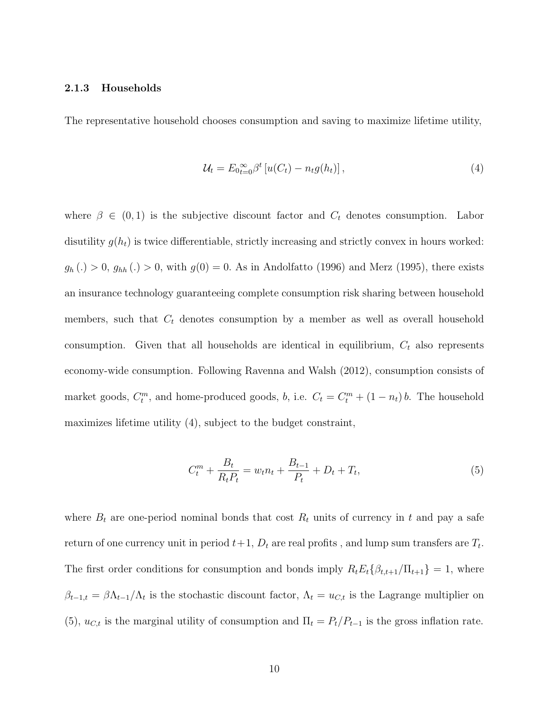#### 2.1.3 Households

The representative household chooses consumption and saving to maximize lifetime utility,

$$
\mathcal{U}_t = E_{0t=0}^{\infty} \beta^t \left[ u(C_t) - n_t g(h_t) \right], \tag{4}
$$

where  $\beta \in (0,1)$  is the subjective discount factor and  $C_t$  denotes consumption. Labor disutility  $g(h_t)$  is twice differentiable, strictly increasing and strictly convex in hours worked:  $g_h(.) > 0$ ,  $g_{hh}(.) > 0$ , with  $g(0) = 0$ . As in Andolfatto (1996) and Merz (1995), there exists an insurance technology guaranteeing complete consumption risk sharing between household members, such that  $C_t$  denotes consumption by a member as well as overall household consumption. Given that all households are identical in equilibrium,  $C_t$  also represents economy-wide consumption. Following Ravenna and Walsh (2012), consumption consists of market goods,  $C_t^m$ , and home-produced goods, b, i.e.  $C_t = C_t^m + (1 - n_t) b$ . The household maximizes lifetime utility (4), subject to the budget constraint,

$$
C_t^m + \frac{B_t}{R_t P_t} = w_t n_t + \frac{B_{t-1}}{P_t} + D_t + T_t,
$$
\n(5)

where  $B_t$  are one-period nominal bonds that cost  $R_t$  units of currency in t and pay a safe return of one currency unit in period  $t+1$ ,  $D_t$  are real profits , and lump sum transfers are  $T_t$ . The first order conditions for consumption and bonds imply  $R_t E_t \{\beta_{t,t+1}/\Pi_{t+1}\} = 1$ , where  $\beta_{t-1,t} = \beta \Lambda_{t-1}/\Lambda_t$  is the stochastic discount factor,  $\Lambda_t = u_{C,t}$  is the Lagrange multiplier on (5),  $u_{C,t}$  is the marginal utility of consumption and  $\Pi_t = P_t/P_{t-1}$  is the gross inflation rate.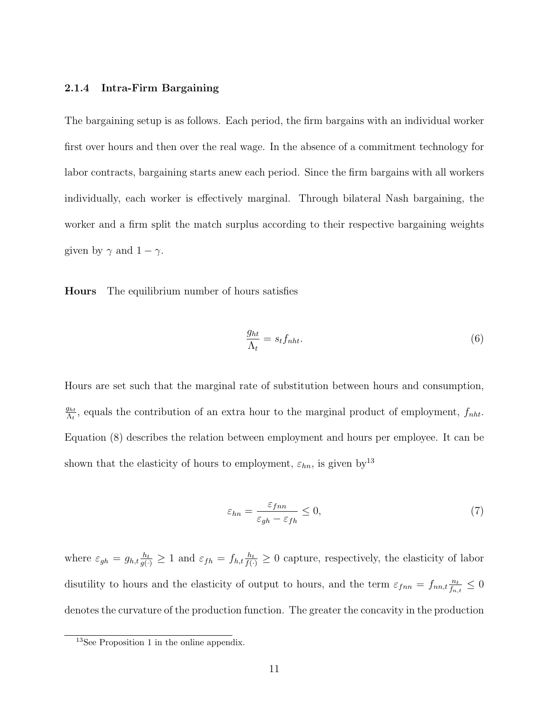#### 2.1.4 Intra-Firm Bargaining

The bargaining setup is as follows. Each period, the firm bargains with an individual worker first over hours and then over the real wage. In the absence of a commitment technology for labor contracts, bargaining starts anew each period. Since the firm bargains with all workers individually, each worker is effectively marginal. Through bilateral Nash bargaining, the worker and a firm split the match surplus according to their respective bargaining weights given by  $\gamma$  and  $1 - \gamma$ .

Hours The equilibrium number of hours satisfies

$$
\frac{g_{ht}}{\Lambda_t} = s_t f_{nht}.\tag{6}
$$

Hours are set such that the marginal rate of substitution between hours and consumption,  $g_{ht}$  $\frac{g_{ht}}{\Lambda_t}$ , equals the contribution of an extra hour to the marginal product of employment,  $f_{nht}$ . Equation (8) describes the relation between employment and hours per employee. It can be shown that the elasticity of hours to employment,  $\varepsilon_{hn}$ , is given by<sup>13</sup>

$$
\varepsilon_{hn} = \frac{\varepsilon_{fnn}}{\varepsilon_{gh} - \varepsilon_{fh}} \le 0,\tag{7}
$$

where  $\varepsilon_{gh} = g_{h,t} \frac{h_t}{g(\cdot)} \geq 1$  and  $\varepsilon_{fh} = f_{h,t} \frac{h_t}{f(\cdot)} \geq 0$  capture, respectively, the elasticity of labor disutility to hours and the elasticity of output to hours, and the term  $\varepsilon_{fnn} = f_{nn,t} \frac{n_t}{f_n}$  $\frac{n_t}{f_{n,t}} \leq 0$ denotes the curvature of the production function. The greater the concavity in the production

<sup>&</sup>lt;sup>13</sup>See Proposition 1 in the online appendix.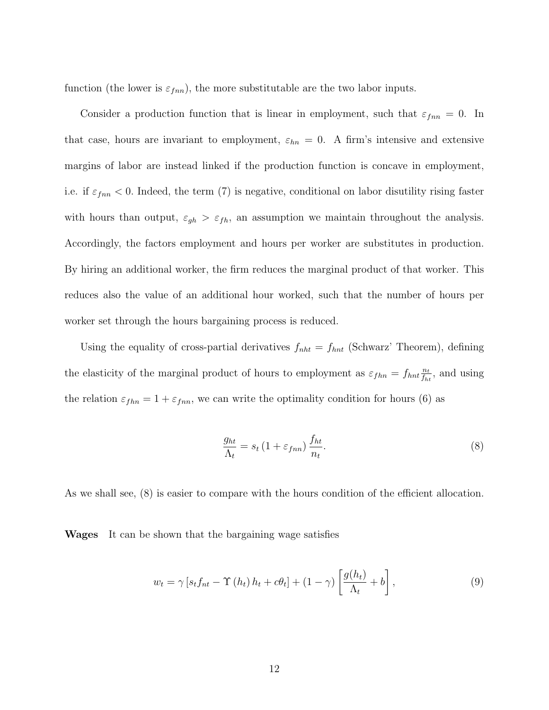function (the lower is  $\varepsilon_{fnn}$ ), the more substitutable are the two labor inputs.

Consider a production function that is linear in employment, such that  $\varepsilon_{finn} = 0$ . In that case, hours are invariant to employment,  $\varepsilon_{hn} = 0$ . A firm's intensive and extensive margins of labor are instead linked if the production function is concave in employment, i.e. if  $\varepsilon_{fin} < 0$ . Indeed, the term (7) is negative, conditional on labor disutility rising faster with hours than output,  $\varepsilon_{gh} > \varepsilon_{fh}$ , an assumption we maintain throughout the analysis. Accordingly, the factors employment and hours per worker are substitutes in production. By hiring an additional worker, the firm reduces the marginal product of that worker. This reduces also the value of an additional hour worked, such that the number of hours per worker set through the hours bargaining process is reduced.

Using the equality of cross-partial derivatives  $f_{nht} = f_{hnt}$  (Schwarz' Theorem), defining the elasticity of the marginal product of hours to employment as  $\varepsilon_{fhn} = f_{hnt} \frac{n_t}{f_{t}}$  $\frac{n_t}{f_{ht}}$ , and using the relation  $\varepsilon_{fhn} = 1 + \varepsilon_{fnn}$ , we can write the optimality condition for hours (6) as

$$
\frac{g_{ht}}{\Lambda_t} = s_t \left( 1 + \varepsilon_{fnn} \right) \frac{f_{ht}}{n_t}.
$$
\n
$$
(8)
$$

As we shall see, (8) is easier to compare with the hours condition of the efficient allocation.

Wages It can be shown that the bargaining wage satisfies

$$
w_t = \gamma \left[ s_t f_{nt} - \Upsilon \left( h_t \right) h_t + c \theta_t \right] + (1 - \gamma) \left[ \frac{g(h_t)}{\Lambda_t} + b \right], \tag{9}
$$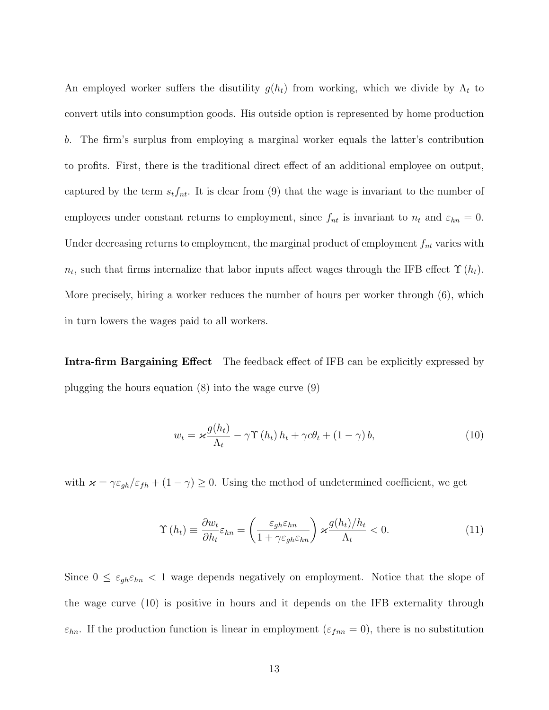An employed worker suffers the disutility  $g(h_t)$  from working, which we divide by  $\Lambda_t$  to convert utils into consumption goods. His outside option is represented by home production b. The firm's surplus from employing a marginal worker equals the latter's contribution to profits. First, there is the traditional direct effect of an additional employee on output, captured by the term  $s_t f_{nt}$ . It is clear from (9) that the wage is invariant to the number of employees under constant returns to employment, since  $f_{nt}$  is invariant to  $n_t$  and  $\varepsilon_{hn} = 0$ . Under decreasing returns to employment, the marginal product of employment  $f_{nt}$  varies with  $n_t$ , such that firms internalize that labor inputs affect wages through the IFB effect  $\Upsilon(h_t)$ . More precisely, hiring a worker reduces the number of hours per worker through (6), which in turn lowers the wages paid to all workers.

Intra-firm Bargaining Effect The feedback effect of IFB can be explicitly expressed by plugging the hours equation (8) into the wage curve (9)

$$
w_t = \varkappa \frac{g(h_t)}{\Lambda_t} - \gamma \Upsilon(h_t) h_t + \gamma c \theta_t + (1 - \gamma) b, \qquad (10)
$$

with  $\varkappa = \gamma \varepsilon_{gh}/\varepsilon_{fh} + (1 - \gamma) \ge 0$ . Using the method of undetermined coefficient, we get

$$
\Upsilon(h_t) \equiv \frac{\partial w_t}{\partial h_t} \varepsilon_{hn} = \left(\frac{\varepsilon_{gh}\varepsilon_{hn}}{1 + \gamma \varepsilon_{gh}\varepsilon_{hn}}\right) \varkappa \frac{g(h_t)/h_t}{\Lambda_t} < 0. \tag{11}
$$

Since  $0 \leq \varepsilon_{gh} \varepsilon_{hn} < 1$  wage depends negatively on employment. Notice that the slope of the wage curve (10) is positive in hours and it depends on the IFB externality through  $\varepsilon_{hn}$ . If the production function is linear in employment ( $\varepsilon_{fnn} = 0$ ), there is no substitution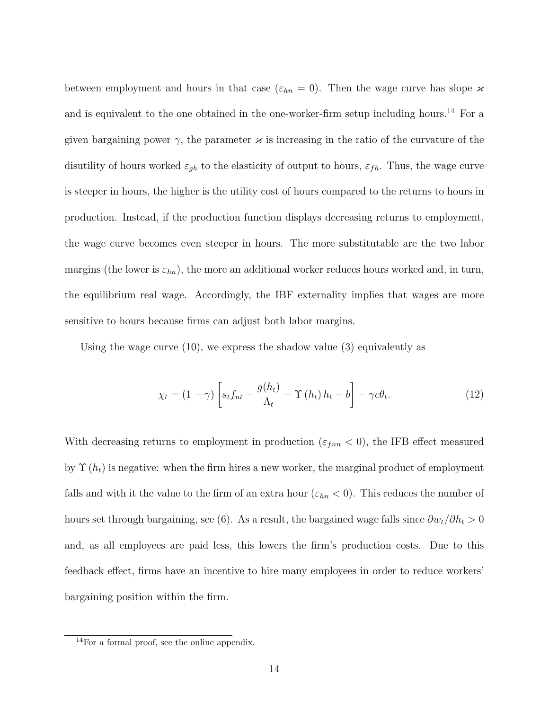between employment and hours in that case ( $\varepsilon_{hn} = 0$ ). Then the wage curve has slope  $\varkappa$ and is equivalent to the one obtained in the one-worker-firm setup including hours.<sup>14</sup> For a given bargaining power  $\gamma$ , the parameter  $\varkappa$  is increasing in the ratio of the curvature of the disutility of hours worked  $\varepsilon_{gh}$  to the elasticity of output to hours,  $\varepsilon_{fh}$ . Thus, the wage curve is steeper in hours, the higher is the utility cost of hours compared to the returns to hours in production. Instead, if the production function displays decreasing returns to employment, the wage curve becomes even steeper in hours. The more substitutable are the two labor margins (the lower is  $\varepsilon_{hn}$ ), the more an additional worker reduces hours worked and, in turn, the equilibrium real wage. Accordingly, the IBF externality implies that wages are more sensitive to hours because firms can adjust both labor margins.

Using the wage curve  $(10)$ , we express the shadow value  $(3)$  equivalently as

$$
\chi_t = (1 - \gamma) \left[ s_t f_{nt} - \frac{g(h_t)}{\Lambda_t} - \Upsilon(h_t) h_t - b \right] - \gamma c \theta_t.
$$
 (12)

With decreasing returns to employment in production ( $\varepsilon_{fnn}$  < 0), the IFB effect measured by  $\Upsilon(h_t)$  is negative: when the firm hires a new worker, the marginal product of employment falls and with it the value to the firm of an extra hour  $(\varepsilon_{hn} < 0)$ . This reduces the number of hours set through bargaining, see (6). As a result, the bargained wage falls since  $\partial w_t/\partial h_t > 0$ and, as all employees are paid less, this lowers the firm's production costs. Due to this feedback effect, firms have an incentive to hire many employees in order to reduce workers' bargaining position within the firm.

<sup>14</sup>For a formal proof, see the online appendix.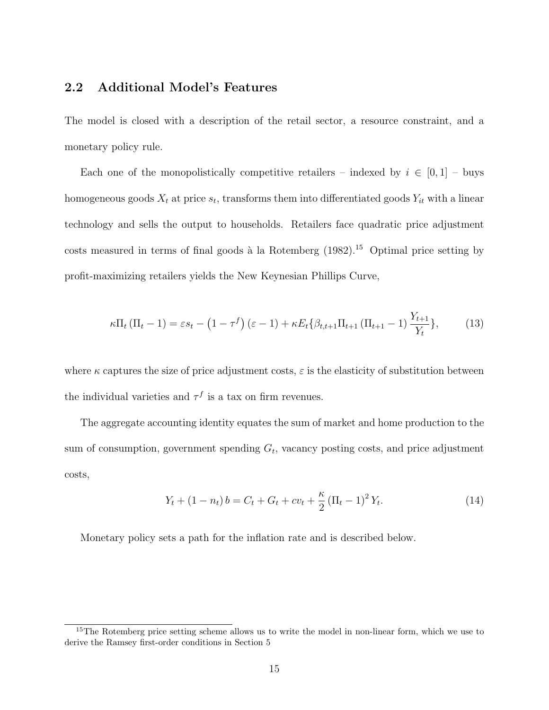## 2.2 Additional Model's Features

The model is closed with a description of the retail sector, a resource constraint, and a monetary policy rule.

Each one of the monopolistically competitive retailers – indexed by  $i \in [0,1]$  – buys homogeneous goods  $X_t$  at price  $s_t$ , transforms them into differentiated goods  $Y_{it}$  with a linear technology and sells the output to households. Retailers face quadratic price adjustment costs measured in terms of final goods à la Rotemberg  $(1982)$ .<sup>15</sup> Optimal price setting by profit-maximizing retailers yields the New Keynesian Phillips Curve,

$$
\kappa \Pi_t \left( \Pi_t - 1 \right) = \varepsilon s_t - \left( 1 - \tau^f \right) \left( \varepsilon - 1 \right) + \kappa E_t \{ \beta_{t,t+1} \Pi_{t+1} \left( \Pi_{t+1} - 1 \right) \frac{Y_{t+1}}{Y_t} \},\tag{13}
$$

where  $\kappa$  captures the size of price adjustment costs,  $\varepsilon$  is the elasticity of substitution between the individual varieties and  $\tau^f$  is a tax on firm revenues.

The aggregate accounting identity equates the sum of market and home production to the sum of consumption, government spending  $G_t$ , vacancy posting costs, and price adjustment costs,

$$
Y_t + (1 - n_t) b = C_t + G_t + cv_t + \frac{\kappa}{2} (\Pi_t - 1)^2 Y_t.
$$
 (14)

Monetary policy sets a path for the inflation rate and is described below.

<sup>&</sup>lt;sup>15</sup>The Rotemberg price setting scheme allows us to write the model in non-linear form, which we use to derive the Ramsey first-order conditions in Section 5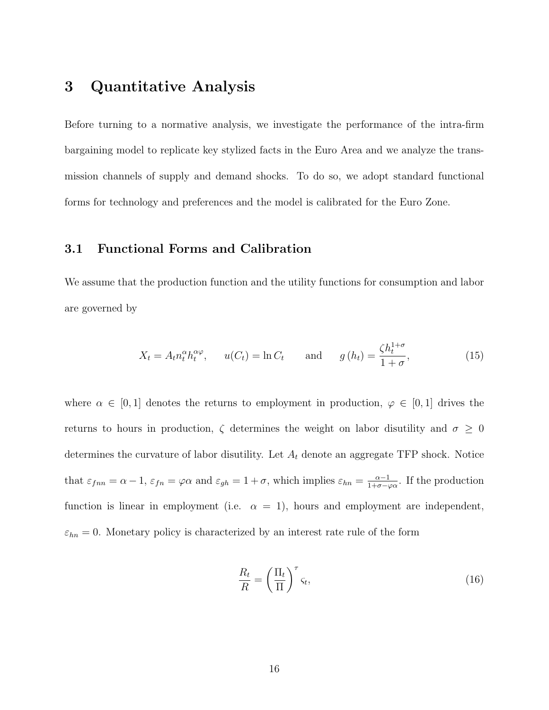## 3 Quantitative Analysis

Before turning to a normative analysis, we investigate the performance of the intra-firm bargaining model to replicate key stylized facts in the Euro Area and we analyze the transmission channels of supply and demand shocks. To do so, we adopt standard functional forms for technology and preferences and the model is calibrated for the Euro Zone.

#### 3.1 Functional Forms and Calibration

We assume that the production function and the utility functions for consumption and labor are governed by

$$
X_t = A_t n_t^{\alpha} h_t^{\alpha \varphi}, \qquad u(C_t) = \ln C_t \qquad \text{and} \qquad g(h_t) = \frac{\zeta h_t^{1+\sigma}}{1+\sigma}, \tag{15}
$$

where  $\alpha \in [0,1]$  denotes the returns to employment in production,  $\varphi \in [0,1]$  drives the returns to hours in production,  $\zeta$  determines the weight on labor disutility and  $\sigma \geq 0$ determines the curvature of labor disutility. Let  $A_t$  denote an aggregate TFP shock. Notice that  $\varepsilon_{fnn} = \alpha - 1$ ,  $\varepsilon_{fn} = \varphi \alpha$  and  $\varepsilon_{gh} = 1 + \sigma$ , which implies  $\varepsilon_{hn} = \frac{\alpha - 1}{1 + \sigma - \sigma}$  $\frac{\alpha-1}{1+\sigma-\varphi\alpha}$ . If the production function is linear in employment (i.e.  $\alpha = 1$ ), hours and employment are independent,  $\varepsilon_{hn} = 0$ . Monetary policy is characterized by an interest rate rule of the form

$$
\frac{R_t}{R} = \left(\frac{\Pi_t}{\Pi}\right)^{\tau} \varsigma_t,\tag{16}
$$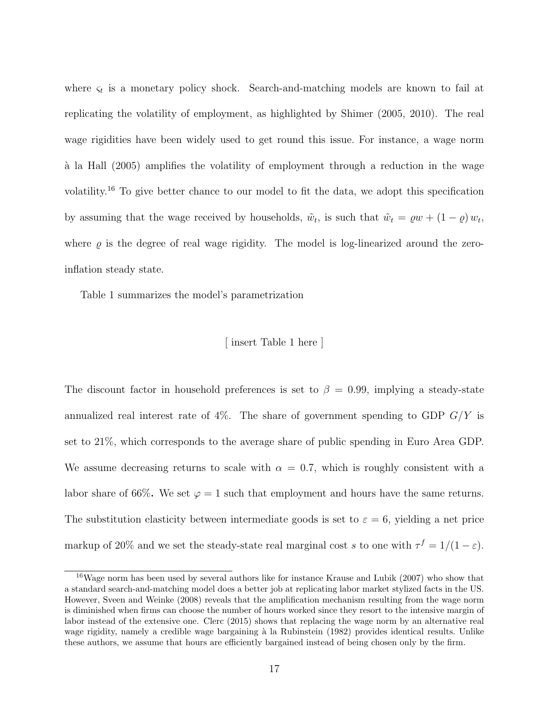where  $\varsigma_t$  is a monetary policy shock. Search-and-matching models are known to fail at replicating the volatility of employment, as highlighted by Shimer (2005, 2010). The real wage rigidities have been widely used to get round this issue. For instance, a wage norm `a la Hall (2005) amplifies the volatility of employment through a reduction in the wage volatility.<sup>16</sup> To give better chance to our model to fit the data, we adopt this specification by assuming that the wage received by households,  $\tilde{w}_t$ , is such that  $\tilde{w}_t = \varrho w + (1 - \varrho) w_t$ , where  $\rho$  is the degree of real wage rigidity. The model is log-linearized around the zeroinflation steady state.

Table 1 summarizes the model's parametrization

#### [ insert Table 1 here ]

The discount factor in household preferences is set to  $\beta = 0.99$ , implying a steady-state annualized real interest rate of  $4\%$ . The share of government spending to GDP  $G/Y$  is set to 21%, which corresponds to the average share of public spending in Euro Area GDP. We assume decreasing returns to scale with  $\alpha = 0.7$ , which is roughly consistent with a labor share of 66%. We set  $\varphi = 1$  such that employment and hours have the same returns. The substitution elasticity between intermediate goods is set to  $\varepsilon = 6$ , yielding a net price markup of 20% and we set the steady-state real marginal cost s to one with  $\tau^f = 1/(1 - \varepsilon)$ .

<sup>&</sup>lt;sup>16</sup>Wage norm has been used by several authors like for instance Krause and Lubik (2007) who show that a standard search-and-matching model does a better job at replicating labor market stylized facts in the US. However, Sveen and Weinke (2008) reveals that the amplification mechanism resulting from the wage norm is diminished when firms can choose the number of hours worked since they resort to the intensive margin of labor instead of the extensive one. Clerc (2015) shows that replacing the wage norm by an alternative real wage rigidity, namely a credible wage bargaining à la Rubinstein (1982) provides identical results. Unlike these authors, we assume that hours are efficiently bargained instead of being chosen only by the firm.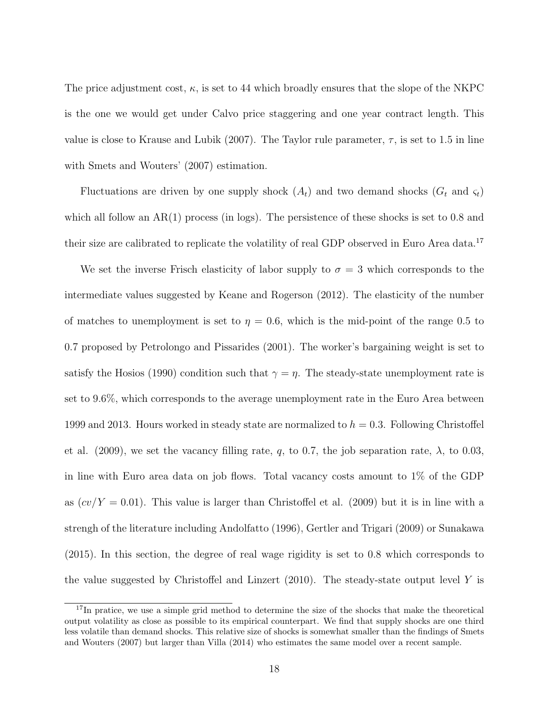The price adjustment cost,  $\kappa$ , is set to 44 which broadly ensures that the slope of the NKPC is the one we would get under Calvo price staggering and one year contract length. This value is close to Krause and Lubik (2007). The Taylor rule parameter,  $\tau$ , is set to 1.5 in line with Smets and Wouters' (2007) estimation.

Fluctuations are driven by one supply shock  $(A_t)$  and two demand shocks  $(G_t \text{ and } \varsigma_t)$ which all follow an  $AR(1)$  process (in logs). The persistence of these shocks is set to 0.8 and their size are calibrated to replicate the volatility of real GDP observed in Euro Area data.<sup>17</sup>

We set the inverse Frisch elasticity of labor supply to  $\sigma = 3$  which corresponds to the intermediate values suggested by Keane and Rogerson (2012). The elasticity of the number of matches to unemployment is set to  $\eta = 0.6$ , which is the mid-point of the range 0.5 to 0.7 proposed by Petrolongo and Pissarides (2001). The worker's bargaining weight is set to satisfy the Hosios (1990) condition such that  $\gamma = \eta$ . The steady-state unemployment rate is set to 9.6%, which corresponds to the average unemployment rate in the Euro Area between 1999 and 2013. Hours worked in steady state are normalized to  $h = 0.3$ . Following Christoffel et al. (2009), we set the vacancy filling rate, q, to 0.7, the job separation rate,  $\lambda$ , to 0.03, in line with Euro area data on job flows. Total vacancy costs amount to 1% of the GDP as  $(cv/Y = 0.01)$ . This value is larger than Christoffel et al. (2009) but it is in line with a strengh of the literature including Andolfatto (1996), Gertler and Trigari (2009) or Sunakawa (2015). In this section, the degree of real wage rigidity is set to 0.8 which corresponds to the value suggested by Christoffel and Linzert  $(2010)$ . The steady-state output level Y is

<sup>&</sup>lt;sup>17</sup>In pratice, we use a simple grid method to determine the size of the shocks that make the theoretical output volatility as close as possible to its empirical counterpart. We find that supply shocks are one third less volatile than demand shocks. This relative size of shocks is somewhat smaller than the findings of Smets and Wouters (2007) but larger than Villa (2014) who estimates the same model over a recent sample.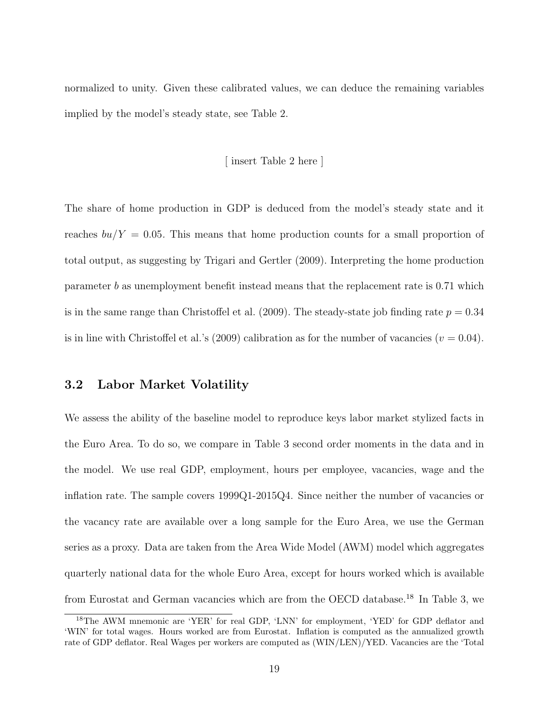normalized to unity. Given these calibrated values, we can deduce the remaining variables implied by the model's steady state, see Table 2.

#### [ insert Table 2 here ]

The share of home production in GDP is deduced from the model's steady state and it reaches  $bu/Y = 0.05$ . This means that home production counts for a small proportion of total output, as suggesting by Trigari and Gertler (2009). Interpreting the home production parameter b as unemployment benefit instead means that the replacement rate is 0.71 which is in the same range than Christoffel et al.  $(2009)$ . The steady-state job finding rate  $p = 0.34$ is in line with Christoffel et al.'s (2009) calibration as for the number of vacancies ( $v = 0.04$ ).

#### 3.2 Labor Market Volatility

We assess the ability of the baseline model to reproduce keys labor market stylized facts in the Euro Area. To do so, we compare in Table 3 second order moments in the data and in the model. We use real GDP, employment, hours per employee, vacancies, wage and the inflation rate. The sample covers 1999Q1-2015Q4. Since neither the number of vacancies or the vacancy rate are available over a long sample for the Euro Area, we use the German series as a proxy. Data are taken from the Area Wide Model (AWM) model which aggregates quarterly national data for the whole Euro Area, except for hours worked which is available from Eurostat and German vacancies which are from the OECD database.<sup>18</sup> In Table 3, we

<sup>18</sup>The AWM mnemonic are 'YER' for real GDP, 'LNN' for employment, 'YED' for GDP deflator and 'WIN' for total wages. Hours worked are from Eurostat. Inflation is computed as the annualized growth rate of GDP deflator. Real Wages per workers are computed as (WIN/LEN)/YED. Vacancies are the 'Total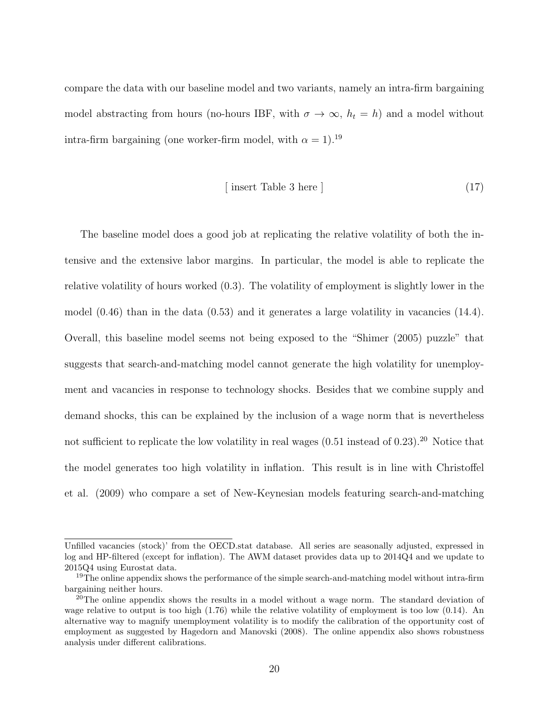compare the data with our baseline model and two variants, namely an intra-firm bargaining model abstracting from hours (no-hours IBF, with  $\sigma \to \infty$ ,  $h_t = h$ ) and a model without intra-firm bargaining (one worker-firm model, with  $\alpha = 1$ ).<sup>19</sup>

$$
[ insert Table 3 here ] \t(17)
$$

The baseline model does a good job at replicating the relative volatility of both the intensive and the extensive labor margins. In particular, the model is able to replicate the relative volatility of hours worked (0.3). The volatility of employment is slightly lower in the model  $(0.46)$  than in the data  $(0.53)$  and it generates a large volatility in vacancies  $(14.4)$ . Overall, this baseline model seems not being exposed to the "Shimer (2005) puzzle" that suggests that search-and-matching model cannot generate the high volatility for unemployment and vacancies in response to technology shocks. Besides that we combine supply and demand shocks, this can be explained by the inclusion of a wage norm that is nevertheless not sufficient to replicate the low volatility in real wages  $(0.51$  instead of  $0.23$ ).<sup>20</sup> Notice that the model generates too high volatility in inflation. This result is in line with Christoffel et al. (2009) who compare a set of New-Keynesian models featuring search-and-matching

Unfilled vacancies (stock)' from the OECD.stat database. All series are seasonally adjusted, expressed in log and HP-filtered (except for inflation). The AWM dataset provides data up to 2014Q4 and we update to 2015Q4 using Eurostat data.

<sup>&</sup>lt;sup>19</sup>The online appendix shows the performance of the simple search-and-matching model without intra-firm bargaining neither hours.

<sup>&</sup>lt;sup>20</sup>The online appendix shows the results in a model without a wage norm. The standard deviation of wage relative to output is too high (1.76) while the relative volatility of employment is too low (0.14). An alternative way to magnify unemployment volatility is to modify the calibration of the opportunity cost of employment as suggested by Hagedorn and Manovski (2008). The online appendix also shows robustness analysis under different calibrations.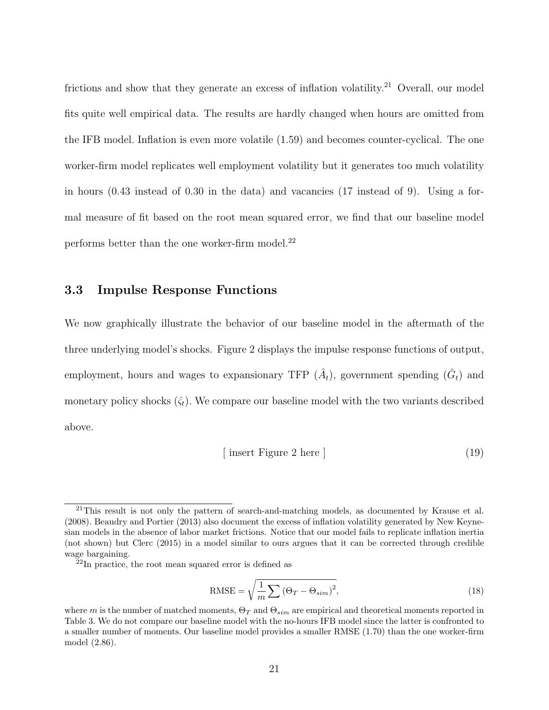frictions and show that they generate an excess of inflation volatility.<sup>21</sup> Overall, our model fits quite well empirical data. The results are hardly changed when hours are omitted from the IFB model. Inflation is even more volatile (1.59) and becomes counter-cyclical. The one worker-firm model replicates well employment volatility but it generates too much volatility in hours (0.43 instead of 0.30 in the data) and vacancies (17 instead of 9). Using a formal measure of fit based on the root mean squared error, we find that our baseline model performs better than the one worker-firm model.<sup>22</sup>

#### 3.3 Impulse Response Functions

We now graphically illustrate the behavior of our baseline model in the aftermath of the three underlying model's shocks. Figure 2 displays the impulse response functions of output, employment, hours and wages to expansionary TFP  $(\hat{A}_t)$ , government spending  $(\hat{G}_t)$  and monetary policy shocks  $(\hat{\zeta}_t)$ . We compare our baseline model with the two variants described above.

$$
[ insert Figure 2 here ] \t(19)
$$

RMSE = 
$$
\sqrt{\frac{1}{m} \sum (\Theta_T - \Theta_{sim})^2}
$$
, (18)

 $^{21}$ This result is not only the pattern of search-and-matching models, as documented by Krause et al. (2008). Beaudry and Portier (2013) also document the excess of inflation volatility generated by New Keynesian models in the absence of labor market frictions. Notice that our model fails to replicate inflation inertia (not shown) but Clerc (2015) in a model similar to ours argues that it can be corrected through credible wage bargaining.

 $22$ In practice, the root mean squared error is defined as

where m is the number of matched moments,  $\Theta_T$  and  $\Theta_{sim}$  are empirical and theoretical moments reported in Table 3. We do not compare our baseline model with the no-hours IFB model since the latter is confronted to a smaller number of moments. Our baseline model provides a smaller RMSE (1.70) than the one worker-firm model (2.86).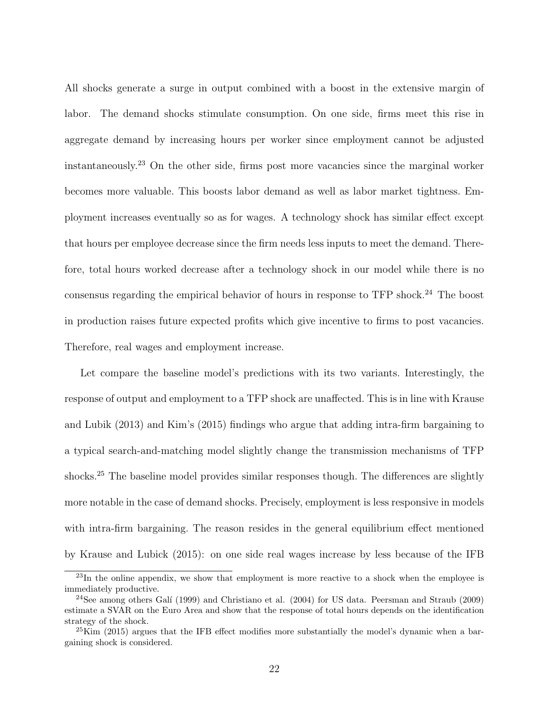All shocks generate a surge in output combined with a boost in the extensive margin of labor. The demand shocks stimulate consumption. On one side, firms meet this rise in aggregate demand by increasing hours per worker since employment cannot be adjusted instantaneously.<sup>23</sup> On the other side, firms post more vacancies since the marginal worker becomes more valuable. This boosts labor demand as well as labor market tightness. Employment increases eventually so as for wages. A technology shock has similar effect except that hours per employee decrease since the firm needs less inputs to meet the demand. Therefore, total hours worked decrease after a technology shock in our model while there is no consensus regarding the empirical behavior of hours in response to TFP shock.<sup>24</sup> The boost in production raises future expected profits which give incentive to firms to post vacancies. Therefore, real wages and employment increase.

Let compare the baseline model's predictions with its two variants. Interestingly, the response of output and employment to a TFP shock are unaffected. This is in line with Krause and Lubik (2013) and Kim's (2015) findings who argue that adding intra-firm bargaining to a typical search-and-matching model slightly change the transmission mechanisms of TFP shocks.<sup>25</sup> The baseline model provides similar responses though. The differences are slightly more notable in the case of demand shocks. Precisely, employment is less responsive in models with intra-firm bargaining. The reason resides in the general equilibrium effect mentioned by Krause and Lubick (2015): on one side real wages increase by less because of the IFB

 $^{23}$ In the online appendix, we show that employment is more reactive to a shock when the employee is immediately productive.

 $24$ See among others Galí (1999) and Christiano et al. (2004) for US data. Peersman and Straub (2009) estimate a SVAR on the Euro Area and show that the response of total hours depends on the identification strategy of the shock.

 $^{25}$ Kim (2015) argues that the IFB effect modifies more substantially the model's dynamic when a bargaining shock is considered.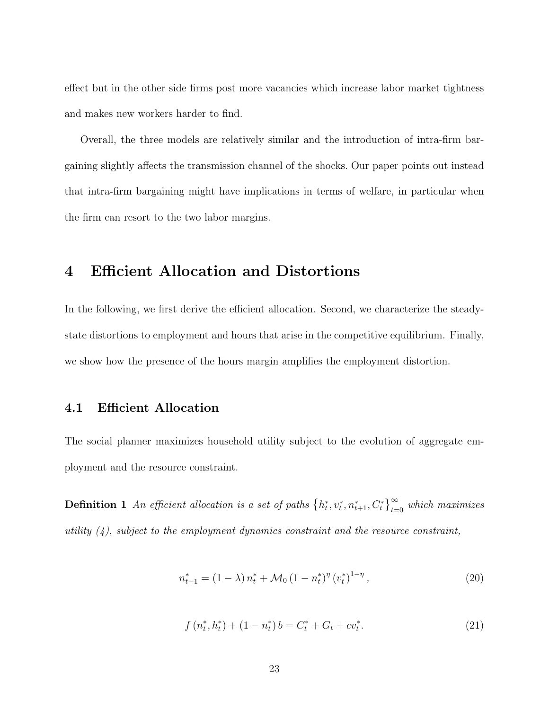effect but in the other side firms post more vacancies which increase labor market tightness and makes new workers harder to find.

Overall, the three models are relatively similar and the introduction of intra-firm bargaining slightly affects the transmission channel of the shocks. Our paper points out instead that intra-firm bargaining might have implications in terms of welfare, in particular when the firm can resort to the two labor margins.

## 4 Efficient Allocation and Distortions

In the following, we first derive the efficient allocation. Second, we characterize the steadystate distortions to employment and hours that arise in the competitive equilibrium. Finally, we show how the presence of the hours margin amplifies the employment distortion.

#### 4.1 Efficient Allocation

The social planner maximizes household utility subject to the evolution of aggregate employment and the resource constraint.

**Definition 1** An efficient allocation is a set of paths  $\{h_t^*, v_t^*, n_{t+1}^*, C_t^*\}_{t=0}^{\infty}$  which maximizes utility  $(4)$ , subject to the employment dynamics constraint and the resource constraint,

$$
n_{t+1}^{*} = (1 - \lambda) n_t^{*} + \mathcal{M}_0 (1 - n_t^{*})^{\eta} (v_t^{*})^{1 - \eta}, \qquad (20)
$$

$$
f(n_t^*, h_t^*) + (1 - n_t^*)b = C_t^* + G_t + cv_t^*.
$$
\n(21)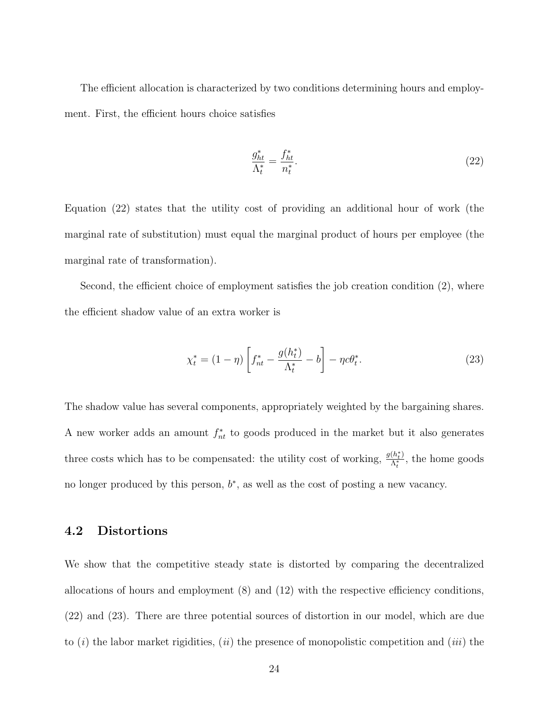The efficient allocation is characterized by two conditions determining hours and employment. First, the efficient hours choice satisfies

$$
\frac{g_{ht}^*}{\Lambda_t^*} = \frac{f_{ht}^*}{n_t^*}.\tag{22}
$$

Equation (22) states that the utility cost of providing an additional hour of work (the marginal rate of substitution) must equal the marginal product of hours per employee (the marginal rate of transformation).

Second, the efficient choice of employment satisfies the job creation condition (2), where the efficient shadow value of an extra worker is

$$
\chi_t^* = (1 - \eta) \left[ f_{nt}^* - \frac{g(h_t^*)}{\Lambda_t^*} - b \right] - \eta c \theta_t^*.
$$
\n(23)

The shadow value has several components, appropriately weighted by the bargaining shares. A new worker adds an amount  $f_{nt}^*$  to goods produced in the market but it also generates three costs which has to be compensated: the utility cost of working,  $\frac{g(h_t^*)}{\Lambda_t^*}$  $\frac{(n_t)}{\Lambda_t^*}$ , the home goods no longer produced by this person,  $b^*$ , as well as the cost of posting a new vacancy.

#### 4.2 Distortions

We show that the competitive steady state is distorted by comparing the decentralized allocations of hours and employment (8) and (12) with the respective efficiency conditions, (22) and (23). There are three potential sources of distortion in our model, which are due to  $(i)$  the labor market rigidities,  $(ii)$  the presence of monopolistic competition and  $(iii)$  the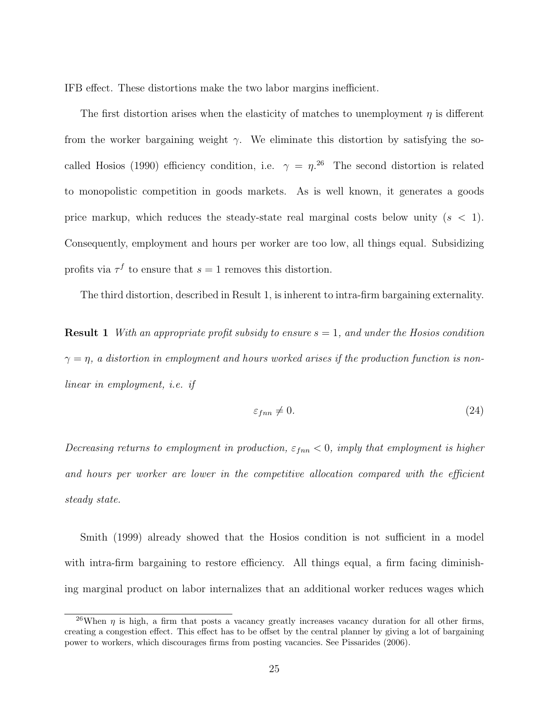IFB effect. These distortions make the two labor margins inefficient.

The first distortion arises when the elasticity of matches to unemployment  $\eta$  is different from the worker bargaining weight  $\gamma$ . We eliminate this distortion by satisfying the socalled Hosios (1990) efficiency condition, i.e.  $\gamma = \eta^{26}$  The second distortion is related to monopolistic competition in goods markets. As is well known, it generates a goods price markup, which reduces the steady-state real marginal costs below unity  $(s < 1)$ . Consequently, employment and hours per worker are too low, all things equal. Subsidizing profits via  $\tau^f$  to ensure that  $s=1$  removes this distortion.

The third distortion, described in Result 1, is inherent to intra-firm bargaining externality.

**Result 1** With an appropriate profit subsidy to ensure  $s = 1$ , and under the Hosios condition  $\gamma = \eta$ , a distortion in employment and hours worked arises if the production function is nonlinear in employment, i.e. if

$$
\varepsilon_{fnn} \neq 0. \tag{24}
$$

Decreasing returns to employment in production,  $\varepsilon_{fnn} < 0$ , imply that employment is higher and hours per worker are lower in the competitive allocation compared with the efficient steady state.

Smith (1999) already showed that the Hosios condition is not sufficient in a model with intra-firm bargaining to restore efficiency. All things equal, a firm facing diminishing marginal product on labor internalizes that an additional worker reduces wages which

<sup>&</sup>lt;sup>26</sup>When  $\eta$  is high, a firm that posts a vacancy greatly increases vacancy duration for all other firms, creating a congestion effect. This effect has to be offset by the central planner by giving a lot of bargaining power to workers, which discourages firms from posting vacancies. See Pissarides (2006).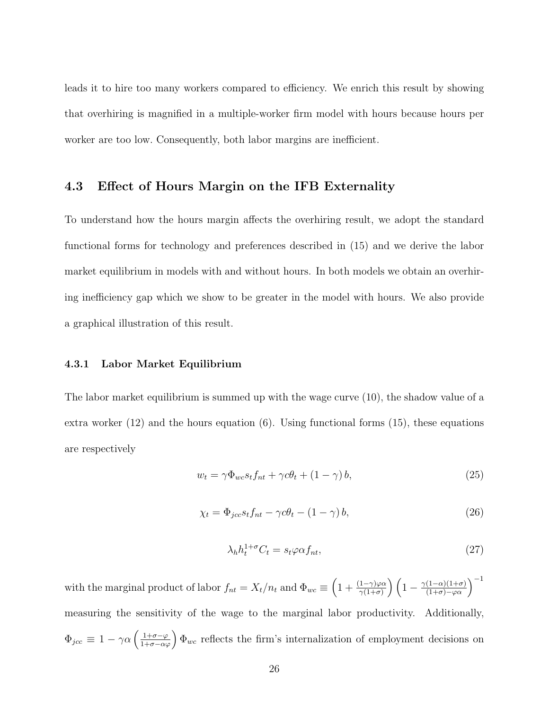leads it to hire too many workers compared to efficiency. We enrich this result by showing that overhiring is magnified in a multiple-worker firm model with hours because hours per worker are too low. Consequently, both labor margins are inefficient.

#### 4.3 Effect of Hours Margin on the IFB Externality

To understand how the hours margin affects the overhiring result, we adopt the standard functional forms for technology and preferences described in (15) and we derive the labor market equilibrium in models with and without hours. In both models we obtain an overhiring inefficiency gap which we show to be greater in the model with hours. We also provide a graphical illustration of this result.

#### 4.3.1 Labor Market Equilibrium

The labor market equilibrium is summed up with the wage curve (10), the shadow value of a extra worker  $(12)$  and the hours equation  $(6)$ . Using functional forms  $(15)$ , these equations are respectively

$$
w_t = \gamma \Phi_{wc} s_t f_{nt} + \gamma c \theta_t + (1 - \gamma) b, \qquad (25)
$$

$$
\chi_t = \Phi_{jcc} s_t f_{nt} - \gamma c \theta_t - (1 - \gamma) b,\tag{26}
$$

$$
\lambda_h h_t^{1+\sigma} C_t = s_t \varphi \alpha f_{nt},\tag{27}
$$

with the marginal product of labor  $f_{nt} = X_t/n_t$  and  $\Phi_{wc} \equiv \left(1 + \frac{(1-\gamma)\varphi\alpha}{\gamma(1+\sigma)}\right) \left(1 - \frac{\gamma(1-\alpha)(1+\sigma)}{(1+\sigma)-\varphi\alpha}\right)^{-1}$ measuring the sensitivity of the wage to the marginal labor productivity. Additionally,  $\Phi_{\text{jcc}} \equiv 1 - \gamma \alpha \left( \frac{1+\sigma-\varphi}{1+\sigma-\alpha\varphi} \right) \Phi_{wc}$  reflects the firm's internalization of employment decisions on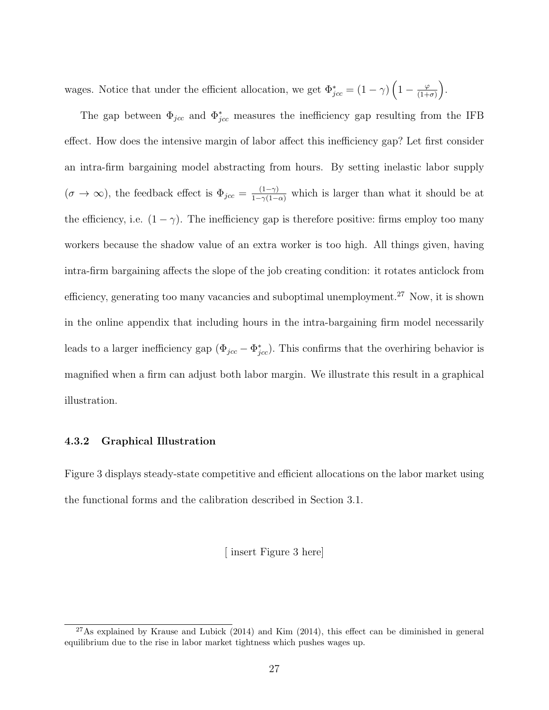wages. Notice that under the efficient allocation, we get  $\Phi_{\text{jcc}}^* = (1 - \gamma) \left(1 - \frac{\varphi}{(1 + \gamma)}\right)$  $\frac{\varphi}{(1+\sigma)}\bigg).$ 

The gap between  $\Phi_{\text{jcc}}$  and  $\Phi_{\text{jcc}}^*$  measures the inefficiency gap resulting from the IFB effect. How does the intensive margin of labor affect this inefficiency gap? Let first consider an intra-firm bargaining model abstracting from hours. By setting inelastic labor supply  $(\sigma \to \infty)$ , the feedback effect is  $\Phi_{\text{jcc}} = \frac{(1-\gamma)}{1-\gamma(1-\alpha)}$  which is larger than what it should be at the efficiency, i.e.  $(1 - \gamma)$ . The inefficiency gap is therefore positive: firms employ too many workers because the shadow value of an extra worker is too high. All things given, having intra-firm bargaining affects the slope of the job creating condition: it rotates anticlock from efficiency, generating too many vacancies and suboptimal unemployment.<sup>27</sup> Now, it is shown in the online appendix that including hours in the intra-bargaining firm model necessarily leads to a larger inefficiency gap  $(\Phi_{jcc} - \Phi_{jcc}^*)$ . This confirms that the overhiring behavior is magnified when a firm can adjust both labor margin. We illustrate this result in a graphical illustration.

#### 4.3.2 Graphical Illustration

Figure 3 displays steady-state competitive and efficient allocations on the labor market using the functional forms and the calibration described in Section 3.1.

[ insert Figure 3 here]

 $^{27}$ As explained by Krause and Lubick (2014) and Kim (2014), this effect can be diminished in general equilibrium due to the rise in labor market tightness which pushes wages up.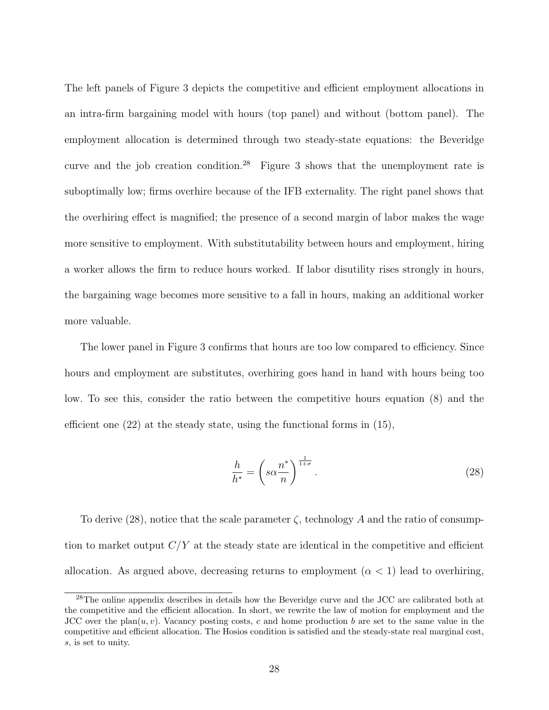The left panels of Figure 3 depicts the competitive and efficient employment allocations in an intra-firm bargaining model with hours (top panel) and without (bottom panel). The employment allocation is determined through two steady-state equations: the Beveridge curve and the job creation condition.<sup>28</sup> Figure 3 shows that the unemployment rate is suboptimally low; firms overhire because of the IFB externality. The right panel shows that the overhiring effect is magnified; the presence of a second margin of labor makes the wage more sensitive to employment. With substitutability between hours and employment, hiring a worker allows the firm to reduce hours worked. If labor disutility rises strongly in hours, the bargaining wage becomes more sensitive to a fall in hours, making an additional worker more valuable.

The lower panel in Figure 3 confirms that hours are too low compared to efficiency. Since hours and employment are substitutes, overhiring goes hand in hand with hours being too low. To see this, consider the ratio between the competitive hours equation (8) and the efficient one  $(22)$  at the steady state, using the functional forms in  $(15)$ ,

$$
\frac{h}{h^*} = \left(s\alpha \frac{n^*}{n}\right)^{\frac{1}{1+\sigma}}.\tag{28}
$$

To derive  $(28)$ , notice that the scale parameter  $\zeta$ , technology A and the ratio of consumption to market output  $C/Y$  at the steady state are identical in the competitive and efficient allocation. As argued above, decreasing returns to employment  $(\alpha < 1)$  lead to overhiring,

<sup>28</sup>The online appendix describes in details how the Beveridge curve and the JCC are calibrated both at the competitive and the efficient allocation. In short, we rewrite the law of motion for employment and the JCC over the plan $(u, v)$ . Vacancy posting costs, c and home production b are set to the same value in the competitive and efficient allocation. The Hosios condition is satisfied and the steady-state real marginal cost, s, is set to unity.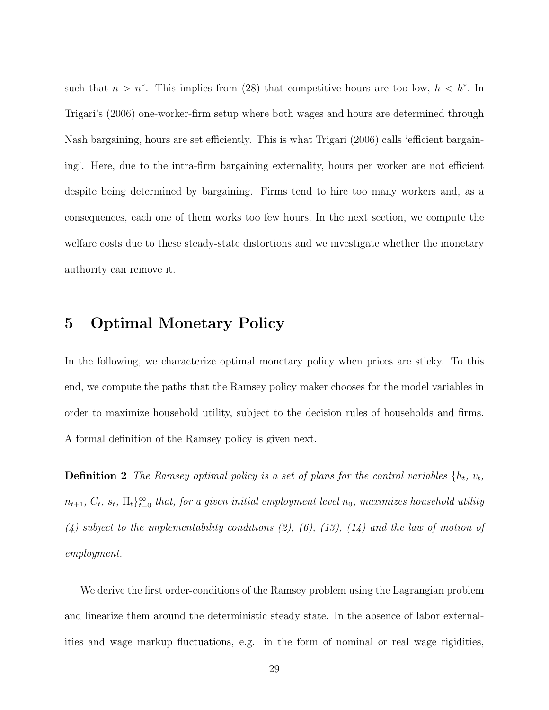such that  $n > n^*$ . This implies from (28) that competitive hours are too low,  $h < h^*$ . In Trigari's (2006) one-worker-firm setup where both wages and hours are determined through Nash bargaining, hours are set efficiently. This is what Trigari (2006) calls 'efficient bargaining'. Here, due to the intra-firm bargaining externality, hours per worker are not efficient despite being determined by bargaining. Firms tend to hire too many workers and, as a consequences, each one of them works too few hours. In the next section, we compute the welfare costs due to these steady-state distortions and we investigate whether the monetary authority can remove it.

## 5 Optimal Monetary Policy

In the following, we characterize optimal monetary policy when prices are sticky. To this end, we compute the paths that the Ramsey policy maker chooses for the model variables in order to maximize household utility, subject to the decision rules of households and firms. A formal definition of the Ramsey policy is given next.

**Definition 2** The Ramsey optimal policy is a set of plans for the control variables  $\{h_t, v_t,$  $n_{t+1}, C_t, s_t, \Pi_t\}_{t=0}^{\infty}$  that, for a given initial employment level  $n_0$ , maximizes household utility  $(4)$  subject to the implementability conditions  $(2)$ ,  $(6)$ ,  $(13)$ ,  $(14)$  and the law of motion of employment.

We derive the first order-conditions of the Ramsey problem using the Lagrangian problem and linearize them around the deterministic steady state. In the absence of labor externalities and wage markup fluctuations, e.g. in the form of nominal or real wage rigidities,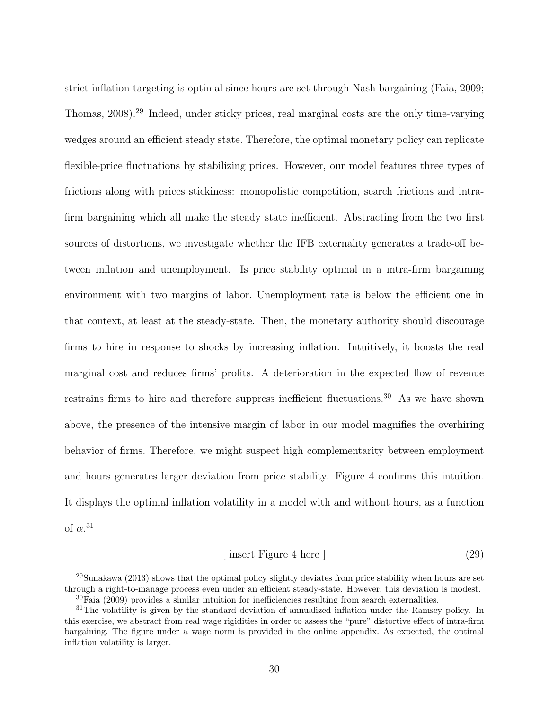strict inflation targeting is optimal since hours are set through Nash bargaining (Faia, 2009; Thomas, 2008).<sup>29</sup> Indeed, under sticky prices, real marginal costs are the only time-varying wedges around an efficient steady state. Therefore, the optimal monetary policy can replicate flexible-price fluctuations by stabilizing prices. However, our model features three types of frictions along with prices stickiness: monopolistic competition, search frictions and intrafirm bargaining which all make the steady state inefficient. Abstracting from the two first sources of distortions, we investigate whether the IFB externality generates a trade-off between inflation and unemployment. Is price stability optimal in a intra-firm bargaining environment with two margins of labor. Unemployment rate is below the efficient one in that context, at least at the steady-state. Then, the monetary authority should discourage firms to hire in response to shocks by increasing inflation. Intuitively, it boosts the real marginal cost and reduces firms' profits. A deterioration in the expected flow of revenue restrains firms to hire and therefore suppress inefficient fluctuations.<sup>30</sup> As we have shown above, the presence of the intensive margin of labor in our model magnifies the overhiring behavior of firms. Therefore, we might suspect high complementarity between employment and hours generates larger deviation from price stability. Figure 4 confirms this intuition. It displays the optimal inflation volatility in a model with and without hours, as a function of  $\alpha$ <sup>31</sup>

$$
[ insert Figure 4 here ] \t(29)
$$

 $^{29}$ Sunakawa (2013) shows that the optimal policy slightly deviates from price stability when hours are set through a right-to-manage process even under an efficient steady-state. However, this deviation is modest.

<sup>30</sup>Faia (2009) provides a similar intuition for inefficiencies resulting from search externalities.

<sup>&</sup>lt;sup>31</sup>The volatility is given by the standard deviation of annualized inflation under the Ramsey policy. In this exercise, we abstract from real wage rigidities in order to assess the "pure" distortive effect of intra-firm bargaining. The figure under a wage norm is provided in the online appendix. As expected, the optimal inflation volatility is larger.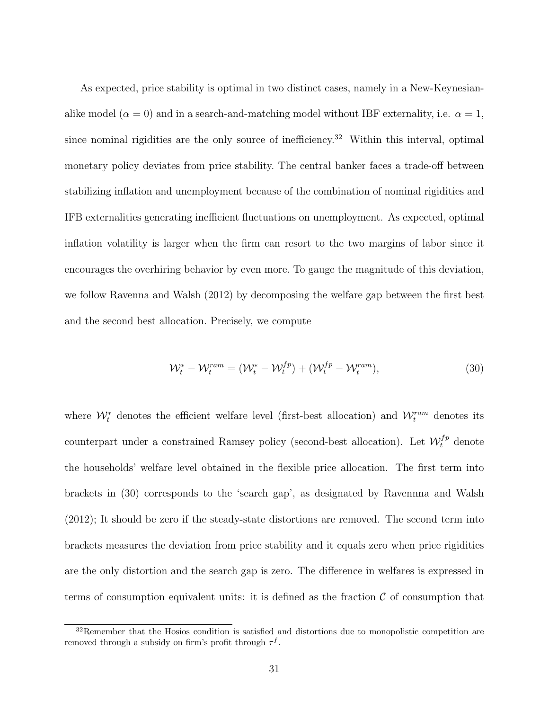As expected, price stability is optimal in two distinct cases, namely in a New-Keynesianalike model ( $\alpha = 0$ ) and in a search-and-matching model without IBF externality, i.e.  $\alpha = 1$ , since nominal rigidities are the only source of inefficiency.<sup>32</sup> Within this interval, optimal monetary policy deviates from price stability. The central banker faces a trade-off between stabilizing inflation and unemployment because of the combination of nominal rigidities and IFB externalities generating inefficient fluctuations on unemployment. As expected, optimal inflation volatility is larger when the firm can resort to the two margins of labor since it encourages the overhiring behavior by even more. To gauge the magnitude of this deviation, we follow Ravenna and Walsh (2012) by decomposing the welfare gap between the first best and the second best allocation. Precisely, we compute

$$
\mathcal{W}_t^* - \mathcal{W}_t^{ram} = (\mathcal{W}_t^* - \mathcal{W}_t^{fp}) + (\mathcal{W}_t^{fp} - \mathcal{W}_t^{ram}),
$$
\n(30)

where  $\mathcal{W}_t^*$  denotes the efficient welfare level (first-best allocation) and  $\mathcal{W}_t^{ram}$  denotes its counterpart under a constrained Ramsey policy (second-best allocation). Let  $\mathcal{W}_t^{fp}$  denote the households' welfare level obtained in the flexible price allocation. The first term into brackets in (30) corresponds to the 'search gap', as designated by Ravennna and Walsh (2012); It should be zero if the steady-state distortions are removed. The second term into brackets measures the deviation from price stability and it equals zero when price rigidities are the only distortion and the search gap is zero. The difference in welfares is expressed in terms of consumption equivalent units: it is defined as the fraction  $\mathcal C$  of consumption that

<sup>&</sup>lt;sup>32</sup>Remember that the Hosios condition is satisfied and distortions due to monopolistic competition are removed through a subsidy on firm's profit through  $\tau^f$ .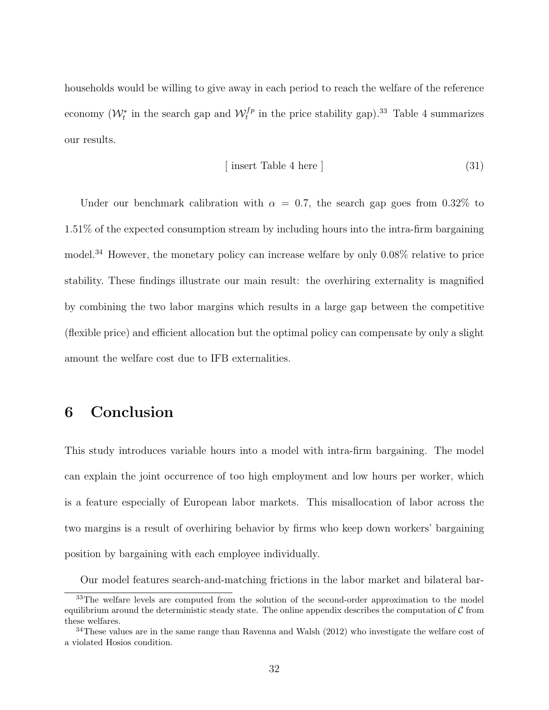households would be willing to give away in each period to reach the welfare of the reference economy  $(\mathcal{W}_t^*$  in the search gap and  $\mathcal{W}_t^{fp}$  in the price stability gap).<sup>33</sup> Table 4 summarizes our results.

$$
[ insert Table 4 here ] \t(31)
$$

Under our benchmark calibration with  $\alpha = 0.7$ , the search gap goes from 0.32% to 1.51% of the expected consumption stream by including hours into the intra-firm bargaining model.<sup>34</sup> However, the monetary policy can increase welfare by only 0.08% relative to price stability. These findings illustrate our main result: the overhiring externality is magnified by combining the two labor margins which results in a large gap between the competitive (flexible price) and efficient allocation but the optimal policy can compensate by only a slight amount the welfare cost due to IFB externalities.

## 6 Conclusion

This study introduces variable hours into a model with intra-firm bargaining. The model can explain the joint occurrence of too high employment and low hours per worker, which is a feature especially of European labor markets. This misallocation of labor across the two margins is a result of overhiring behavior by firms who keep down workers' bargaining position by bargaining with each employee individually.

Our model features search-and-matching frictions in the labor market and bilateral bar-

<sup>&</sup>lt;sup>33</sup>The welfare levels are computed from the solution of the second-order approximation to the model equilibrium around the deterministic steady state. The online appendix describes the computation of  $C$  from these welfares.

<sup>&</sup>lt;sup>34</sup>These values are in the same range than Ravenna and Walsh (2012) who investigate the welfare cost of a violated Hosios condition.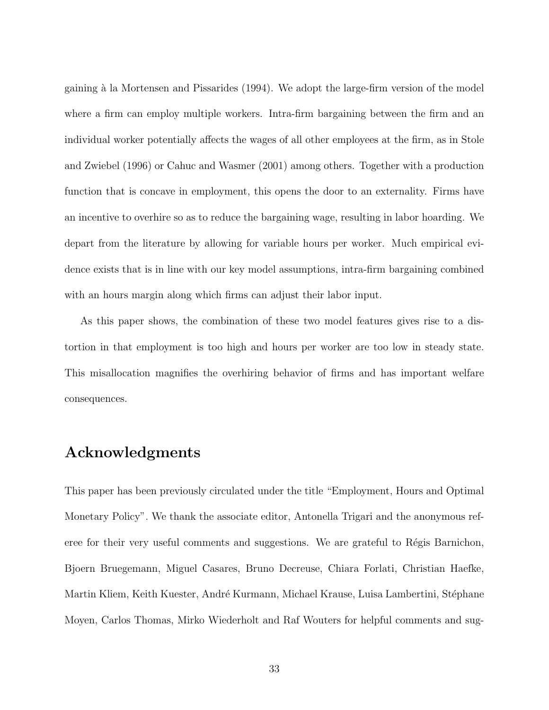gaining à la Mortensen and Pissarides (1994). We adopt the large-firm version of the model where a firm can employ multiple workers. Intra-firm bargaining between the firm and an individual worker potentially affects the wages of all other employees at the firm, as in Stole and Zwiebel (1996) or Cahuc and Wasmer (2001) among others. Together with a production function that is concave in employment, this opens the door to an externality. Firms have an incentive to overhire so as to reduce the bargaining wage, resulting in labor hoarding. We depart from the literature by allowing for variable hours per worker. Much empirical evidence exists that is in line with our key model assumptions, intra-firm bargaining combined with an hours margin along which firms can adjust their labor input.

As this paper shows, the combination of these two model features gives rise to a distortion in that employment is too high and hours per worker are too low in steady state. This misallocation magnifies the overhiring behavior of firms and has important welfare consequences.

## Acknowledgments

This paper has been previously circulated under the title "Employment, Hours and Optimal Monetary Policy". We thank the associate editor, Antonella Trigari and the anonymous referee for their very useful comments and suggestions. We are grateful to Régis Barnichon, Bjoern Bruegemann, Miguel Casares, Bruno Decreuse, Chiara Forlati, Christian Haefke, Martin Kliem, Keith Kuester, André Kurmann, Michael Krause, Luisa Lambertini, Stéphane Moyen, Carlos Thomas, Mirko Wiederholt and Raf Wouters for helpful comments and sug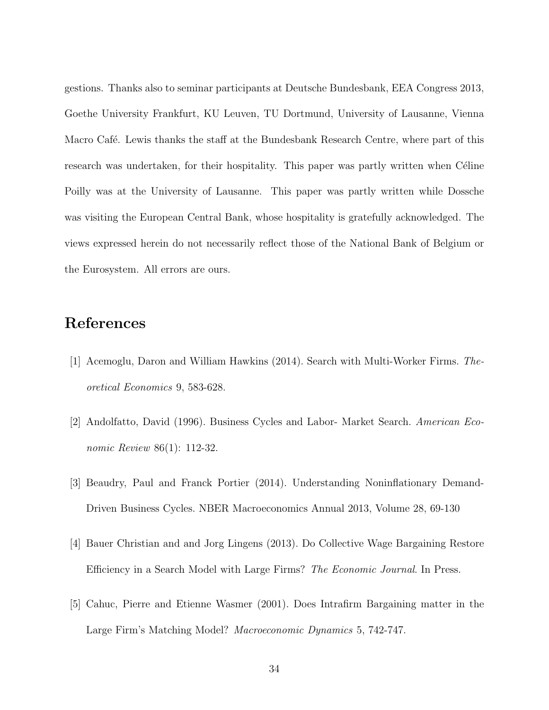gestions. Thanks also to seminar participants at Deutsche Bundesbank, EEA Congress 2013, Goethe University Frankfurt, KU Leuven, TU Dortmund, University of Lausanne, Vienna Macro Café. Lewis thanks the staff at the Bundesbank Research Centre, where part of this research was undertaken, for their hospitality. This paper was partly written when Céline Poilly was at the University of Lausanne. This paper was partly written while Dossche was visiting the European Central Bank, whose hospitality is gratefully acknowledged. The views expressed herein do not necessarily reflect those of the National Bank of Belgium or the Eurosystem. All errors are ours.

## References

- [1] Acemoglu, Daron and William Hawkins (2014). Search with Multi-Worker Firms. Theoretical Economics 9, 583-628.
- [2] Andolfatto, David (1996). Business Cycles and Labor- Market Search. American Economic Review 86(1): 112-32.
- [3] Beaudry, Paul and Franck Portier (2014). Understanding Noninflationary Demand-Driven Business Cycles. NBER Macroeconomics Annual 2013, Volume 28, 69-130
- [4] Bauer Christian and and Jorg Lingens (2013). Do Collective Wage Bargaining Restore Efficiency in a Search Model with Large Firms? The Economic Journal. In Press.
- [5] Cahuc, Pierre and Etienne Wasmer (2001). Does Intrafirm Bargaining matter in the Large Firm's Matching Model? Macroeconomic Dynamics 5, 742-747.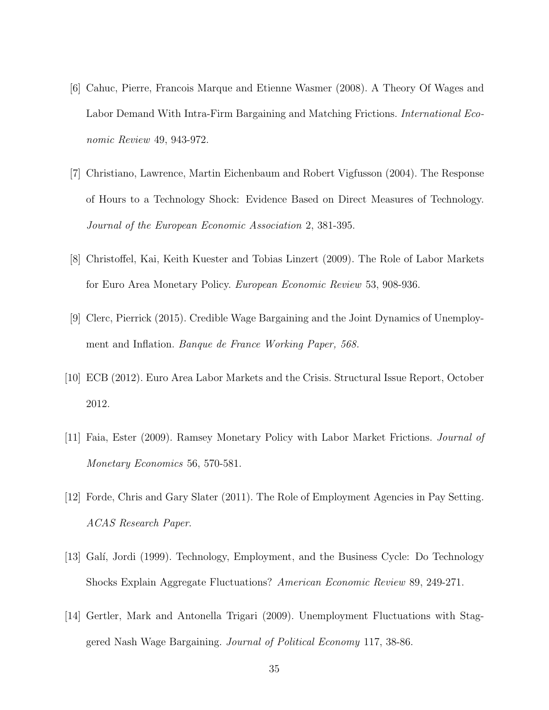- [6] Cahuc, Pierre, Francois Marque and Etienne Wasmer (2008). A Theory Of Wages and Labor Demand With Intra-Firm Bargaining and Matching Frictions. International Economic Review 49, 943-972.
- [7] Christiano, Lawrence, Martin Eichenbaum and Robert Vigfusson (2004). The Response of Hours to a Technology Shock: Evidence Based on Direct Measures of Technology. Journal of the European Economic Association 2, 381-395.
- [8] Christoffel, Kai, Keith Kuester and Tobias Linzert (2009). The Role of Labor Markets for Euro Area Monetary Policy. European Economic Review 53, 908-936.
- [9] Clerc, Pierrick (2015). Credible Wage Bargaining and the Joint Dynamics of Unemployment and Inflation. Banque de France Working Paper, 568.
- [10] ECB (2012). Euro Area Labor Markets and the Crisis. Structural Issue Report, October 2012.
- [11] Faia, Ester (2009). Ramsey Monetary Policy with Labor Market Frictions. Journal of Monetary Economics 56, 570-581.
- [12] Forde, Chris and Gary Slater (2011). The Role of Employment Agencies in Pay Setting. ACAS Research Paper.
- [13] Galí, Jordi (1999). Technology, Employment, and the Business Cycle: Do Technology Shocks Explain Aggregate Fluctuations? American Economic Review 89, 249-271.
- [14] Gertler, Mark and Antonella Trigari (2009). Unemployment Fluctuations with Staggered Nash Wage Bargaining. Journal of Political Economy 117, 38-86.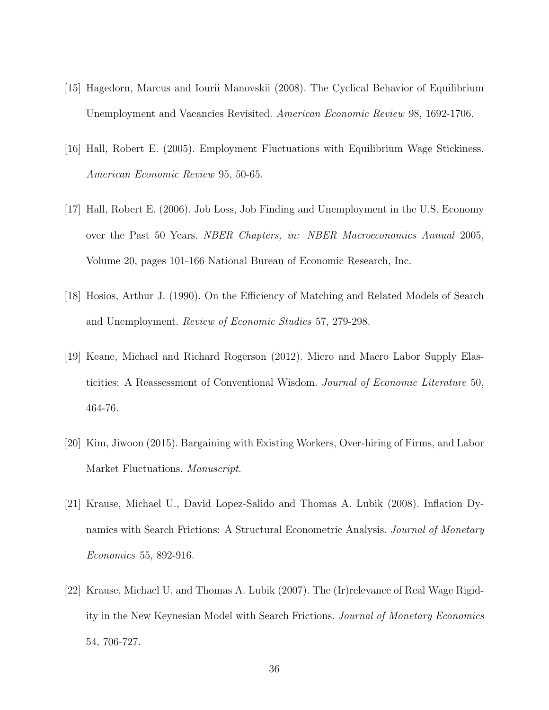- [15] Hagedorn, Marcus and Iourii Manovskii (2008). The Cyclical Behavior of Equilibrium Unemployment and Vacancies Revisited. American Economic Review 98, 1692-1706.
- [16] Hall, Robert E. (2005). Employment Fluctuations with Equilibrium Wage Stickiness. American Economic Review 95, 50-65.
- [17] Hall, Robert E. (2006). Job Loss, Job Finding and Unemployment in the U.S. Economy over the Past 50 Years. NBER Chapters, in: NBER Macroeconomics Annual 2005, Volume 20, pages 101-166 National Bureau of Economic Research, Inc.
- [18] Hosios, Arthur J. (1990). On the Efficiency of Matching and Related Models of Search and Unemployment. Review of Economic Studies 57, 279-298.
- [19] Keane, Michael and Richard Rogerson (2012). Micro and Macro Labor Supply Elasticities: A Reassessment of Conventional Wisdom. Journal of Economic Literature 50, 464-76.
- [20] Kim, Jiwoon (2015). Bargaining with Existing Workers, Over-hiring of Firms, and Labor Market Fluctuations. *Manuscript*.
- [21] Krause, Michael U., David Lopez-Salido and Thomas A. Lubik (2008). Inflation Dynamics with Search Frictions: A Structural Econometric Analysis. *Journal of Monetary* Economics 55, 892-916.
- [22] Krause, Michael U. and Thomas A. Lubik (2007). The (Ir)relevance of Real Wage Rigidity in the New Keynesian Model with Search Frictions. Journal of Monetary Economics 54, 706-727.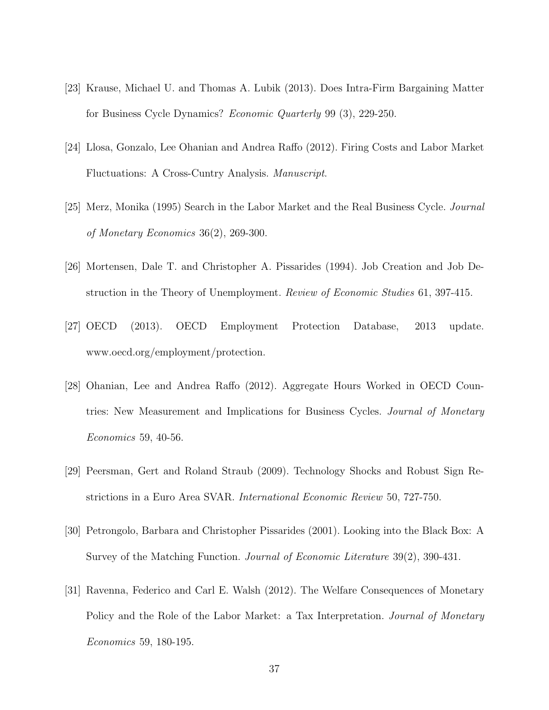- [23] Krause, Michael U. and Thomas A. Lubik (2013). Does Intra-Firm Bargaining Matter for Business Cycle Dynamics? Economic Quarterly 99 (3), 229-250.
- [24] Llosa, Gonzalo, Lee Ohanian and Andrea Raffo (2012). Firing Costs and Labor Market Fluctuations: A Cross-Cuntry Analysis. Manuscript.
- [25] Merz, Monika (1995) Search in the Labor Market and the Real Business Cycle. Journal of Monetary Economics 36(2), 269-300.
- [26] Mortensen, Dale T. and Christopher A. Pissarides (1994). Job Creation and Job Destruction in the Theory of Unemployment. Review of Economic Studies 61, 397-415.
- [27] OECD (2013). OECD Employment Protection Database, 2013 update. www.oecd.org/employment/protection.
- [28] Ohanian, Lee and Andrea Raffo (2012). Aggregate Hours Worked in OECD Countries: New Measurement and Implications for Business Cycles. *Journal of Monetary* Economics 59, 40-56.
- [29] Peersman, Gert and Roland Straub (2009). Technology Shocks and Robust Sign Restrictions in a Euro Area SVAR. International Economic Review 50, 727-750.
- [30] Petrongolo, Barbara and Christopher Pissarides (2001). Looking into the Black Box: A Survey of the Matching Function. Journal of Economic Literature 39(2), 390-431.
- [31] Ravenna, Federico and Carl E. Walsh (2012). The Welfare Consequences of Monetary Policy and the Role of the Labor Market: a Tax Interpretation. Journal of Monetary Economics 59, 180-195.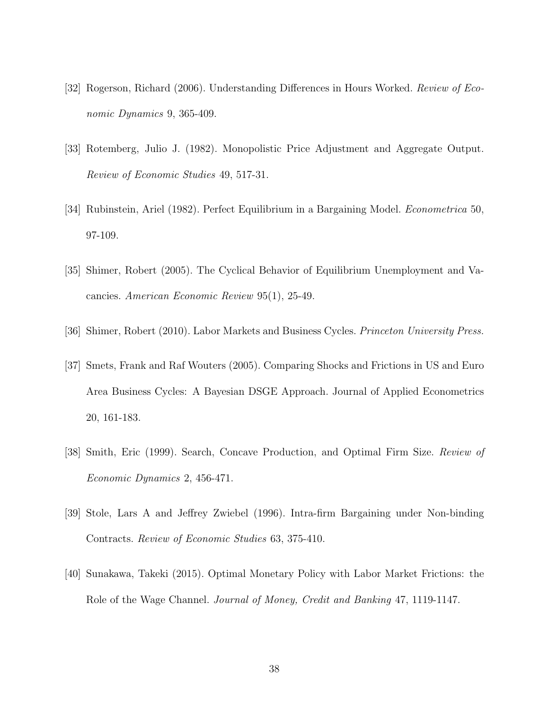- [32] Rogerson, Richard (2006). Understanding Differences in Hours Worked. Review of Economic Dynamics 9, 365-409.
- [33] Rotemberg, Julio J. (1982). Monopolistic Price Adjustment and Aggregate Output. Review of Economic Studies 49, 517-31.
- [34] Rubinstein, Ariel (1982). Perfect Equilibrium in a Bargaining Model. Econometrica 50, 97-109.
- [35] Shimer, Robert (2005). The Cyclical Behavior of Equilibrium Unemployment and Vacancies. American Economic Review 95(1), 25-49.
- [36] Shimer, Robert (2010). Labor Markets and Business Cycles. Princeton University Press.
- [37] Smets, Frank and Raf Wouters (2005). Comparing Shocks and Frictions in US and Euro Area Business Cycles: A Bayesian DSGE Approach. Journal of Applied Econometrics 20, 161-183.
- [38] Smith, Eric (1999). Search, Concave Production, and Optimal Firm Size. Review of Economic Dynamics 2, 456-471.
- [39] Stole, Lars A and Jeffrey Zwiebel (1996). Intra-firm Bargaining under Non-binding Contracts. Review of Economic Studies 63, 375-410.
- [40] Sunakawa, Takeki (2015). Optimal Monetary Policy with Labor Market Frictions: the Role of the Wage Channel. *Journal of Money, Credit and Banking* 47, 1119-1147.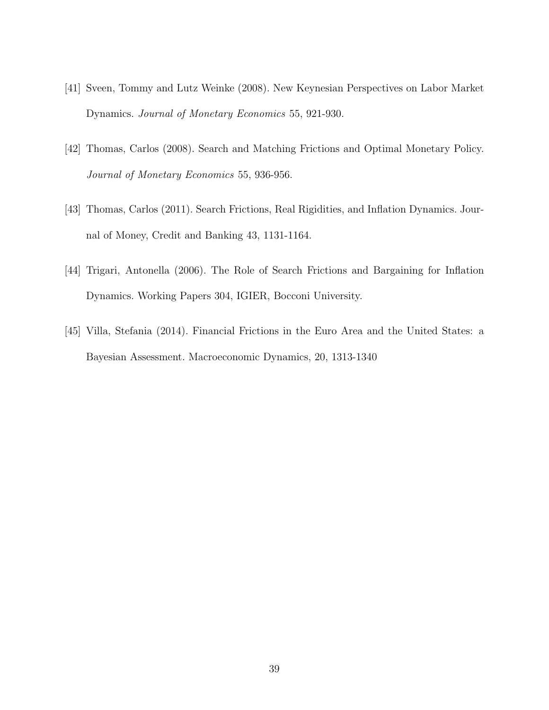- [41] Sveen, Tommy and Lutz Weinke (2008). New Keynesian Perspectives on Labor Market Dynamics. Journal of Monetary Economics 55, 921-930.
- [42] Thomas, Carlos (2008). Search and Matching Frictions and Optimal Monetary Policy. Journal of Monetary Economics 55, 936-956.
- [43] Thomas, Carlos (2011). Search Frictions, Real Rigidities, and Inflation Dynamics. Journal of Money, Credit and Banking 43, 1131-1164.
- [44] Trigari, Antonella (2006). The Role of Search Frictions and Bargaining for Inflation Dynamics. Working Papers 304, IGIER, Bocconi University.
- [45] Villa, Stefania (2014). Financial Frictions in the Euro Area and the United States: a Bayesian Assessment. Macroeconomic Dynamics, 20, 1313-1340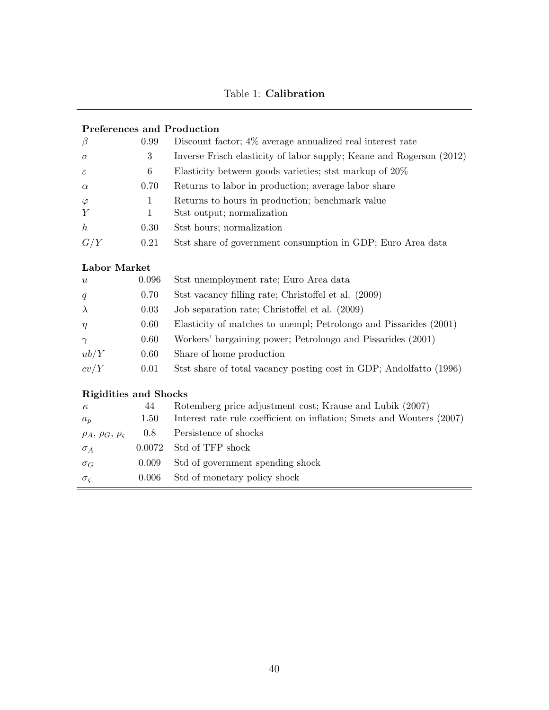## Table 1: Calibration

#### Preferences and Production

| $\beta$        | 0.99 | Discount factor; 4\% average annualized real interest rate                    |
|----------------|------|-------------------------------------------------------------------------------|
| $\sigma$       | 3    | Inverse Frisch elasticity of labor supply; Keane and Rogerson (2012)          |
| $\varepsilon$  | 6    | Elasticity between goods varieties; stst markup of $20\%$                     |
| $\alpha$       | 0.70 | Returns to labor in production; average labor share                           |
| $\varphi$<br>Y |      | Returns to hours in production; benchmark value<br>Stst output; normalization |
| h              | 0.30 | Stst hours; normalization                                                     |
| G/Y            | 0.21 | Stst share of government consumption in GDP; Euro Area data                   |

#### Labor Market

| u         | 0.096 | Stst unemployment rate; Euro Area data                             |
|-----------|-------|--------------------------------------------------------------------|
| q         | 0.70  | Stst vacancy filling rate; Christoffel et al. (2009)               |
| $\lambda$ | 0.03  | Job separation rate; Christoffel et al. (2009)                     |
| $\eta$    | 0.60  | Elasticity of matches to unempl; Petrolongo and Pissarides (2001)  |
| $\gamma$  | 0.60  | Workers' bargaining power; Petrolongo and Pissarides (2001)        |
| ub/Y      | 0.60  | Share of home production                                           |
| cv/Y      | 0.01  | Stst share of total vacancy posting cost in GDP; Andolfatto (1996) |

#### Rigidities and Shocks

| $\kappa$                       | 44     | Rotemberg price adjustment cost; Krause and Lubik (2007)              |
|--------------------------------|--------|-----------------------------------------------------------------------|
| $a_p$                          | 1.50   | Interest rate rule coefficient on inflation; Smets and Wouters (2007) |
| $\rho_A$ , $\rho_G$ , $\rho_S$ | 0.8    | Persistence of shocks                                                 |
| $\sigma_A$                     | 0.0072 | Std of TFP shock                                                      |
| $\sigma_G$                     | 0.009  | Std of government spending shock                                      |
| $\sigma_{c}$                   | 0.006  | Std of monetary policy shock                                          |
|                                |        |                                                                       |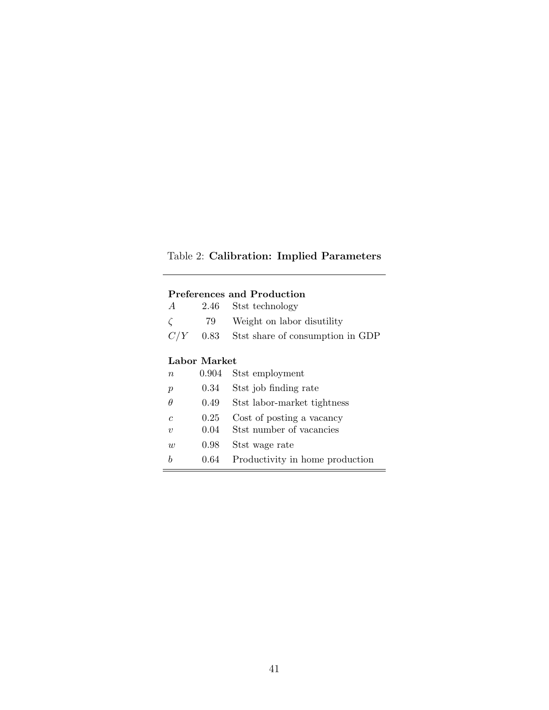## Table 2: Calibration: Implied Parameters

#### Preferences and Production

| A | 2.46 Stst technology                        |
|---|---------------------------------------------|
|   | 79 Weight on labor disutility               |
|   | $C/Y$ 0.83 Stst share of consumption in GDP |

#### Labor Market

Ė

| Stst job finding rate<br>0.34<br>$\mathcal{p}$<br>$\theta$<br>Stst labor-market tightness<br>0.49<br>Cost of posting a vacancy<br>0.25<br>$\mathcal{C}$<br>Stst number of vacancies<br>0.04<br>$\eta$<br>Stst wage rate<br>0.98<br>$\overline{w}$ | $\boldsymbol{n}$ | 0.904 Stst employment           |
|---------------------------------------------------------------------------------------------------------------------------------------------------------------------------------------------------------------------------------------------------|------------------|---------------------------------|
|                                                                                                                                                                                                                                                   |                  |                                 |
|                                                                                                                                                                                                                                                   |                  |                                 |
|                                                                                                                                                                                                                                                   |                  |                                 |
|                                                                                                                                                                                                                                                   |                  |                                 |
|                                                                                                                                                                                                                                                   |                  |                                 |
| h<br>0.64                                                                                                                                                                                                                                         |                  | Productivity in home production |

 $=$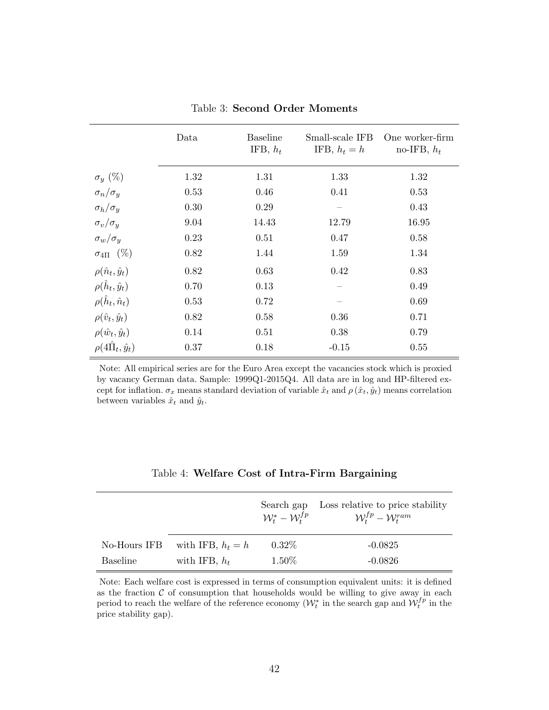|                                 | Data | <b>Baseline</b><br>IFB, $h_t$ | Small-scale IFB<br>IFB, $h_t = h$ | One worker-firm<br>no-IFB, $h_t$ |
|---------------------------------|------|-------------------------------|-----------------------------------|----------------------------------|
| $\sigma_y(\%)$                  | 1.32 | 1.31                          | 1.33                              | 1.32                             |
| $\sigma_n/\sigma_y$             | 0.53 | 0.46                          | 0.41                              | 0.53                             |
| $\sigma_h/\sigma_u$             | 0.30 | 0.29                          |                                   | 0.43                             |
| $\sigma_v/\sigma_y$             | 9.04 | 14.43                         | 12.79                             | 16.95                            |
| $\sigma_w/\sigma_y$             | 0.23 | 0.51                          | 0.47                              | 0.58                             |
| $\sigma_{4\Pi}$ (%)             | 0.82 | 1.44                          | 1.59                              | 1.34                             |
| $\rho(\hat{n}_t, \hat{y}_t)$    | 0.82 | 0.63                          | 0.42                              | 0.83                             |
| $\rho(\hat{h}_t, \hat{y}_t)$    | 0.70 | 0.13                          |                                   | 0.49                             |
| $\rho(\hat{h}_t, \hat{n}_t)$    | 0.53 | 0.72                          |                                   | 0.69                             |
| $\rho(\hat{v}_t, \hat{y}_t)$    | 0.82 | 0.58                          | 0.36                              | 0.71                             |
| $\rho(\hat{w}_t, \hat{y}_t)$    | 0.14 | 0.51                          | 0.38                              | 0.79                             |
| $\rho(4\hat{\Pi}_t, \hat{y}_t)$ | 0.37 | 0.18                          | $-0.15$                           | 0.55                             |

Table 3: Second Order Moments

Note: All empirical series are for the Euro Area except the vacancies stock which is proxied by vacancy German data. Sample: 1999Q1-2015Q4. All data are in log and HP-filtered except for inflation.  $\sigma_x$  means standard deviation of variable  $\hat{x}_t$  and  $\rho(\hat{x}_t, \hat{y}_t)$  means correlation between variables  $\hat{x}_t$  and  $\hat{y}_t$ .

|                 |                     | Search gap<br>$\mathcal{W}^*_t - \mathcal{W}^{fp}_t$ | Loss relative to price stability<br>$\mathcal{W}_{t}^{fp}-\mathcal{W}_{t}^{ram}$ |
|-----------------|---------------------|------------------------------------------------------|----------------------------------------------------------------------------------|
| No-Hours IFB    | with IFB, $h_t = h$ | $0.32\%$                                             | $-0.0825$                                                                        |
| <b>Baseline</b> | with IFB, $h_t$     | $1.50\%$                                             | $-0.0826$                                                                        |

#### Table 4: Welfare Cost of Intra-Firm Bargaining

Note: Each welfare cost is expressed in terms of consumption equivalent units: it is defined as the fraction  $\mathcal C$  of consumption that households would be willing to give away in each period to reach the welfare of the reference economy  $(\mathcal{W}_t^*$  in the search gap and  $\mathcal{W}_t^{fp}$  in the price stability gap).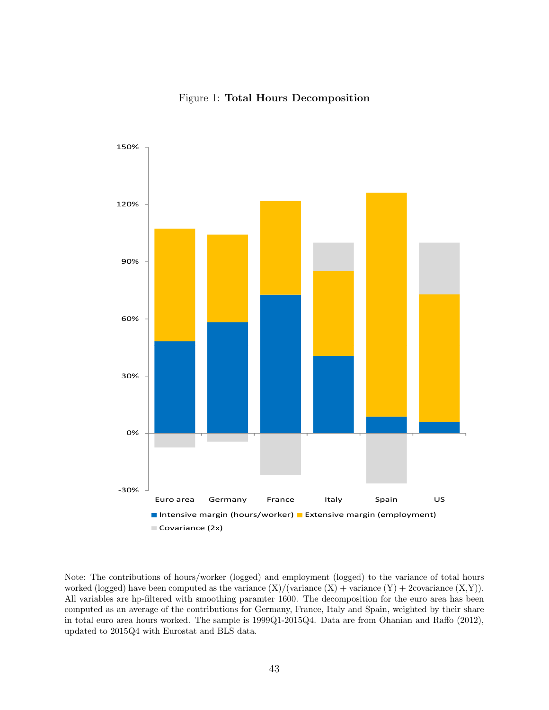#### Figure 1: Total Hours Decomposition



Note: The contributions of hours/worker (logged) and employment (logged) to the variance of total hours worked (logged) have been computed as the variance  $(X)/$  (variance  $(X)$  + variance  $(Y)$  + 2covariance  $(X,Y)$ ). All variables are hp-filtered with smoothing paramter 1600. The decomposition for the euro area has been computed as an average of the contributions for Germany, France, Italy and Spain, weighted by their share in total euro area hours worked. The sample is 1999Q1-2015Q4. Data are from Ohanian and Raffo (2012), updated to 2015Q4 with Eurostat and BLS data.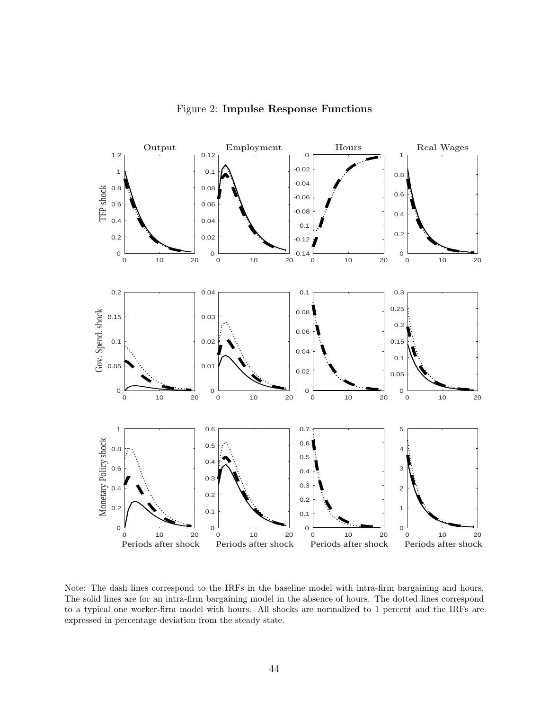

Figure 2: Impulse Response Functions

Note: The dash lines correspond to the IRFs in the baseline model with intra-firm bargaining and hours. The solid lines are for an intra-firm bargaining model in the absence of hours. The dotted lines correspond to a typical one worker-firm model with hours. All shocks are normalized to 1 percent and the IRFs are expressed in percentage deviation from the steady state.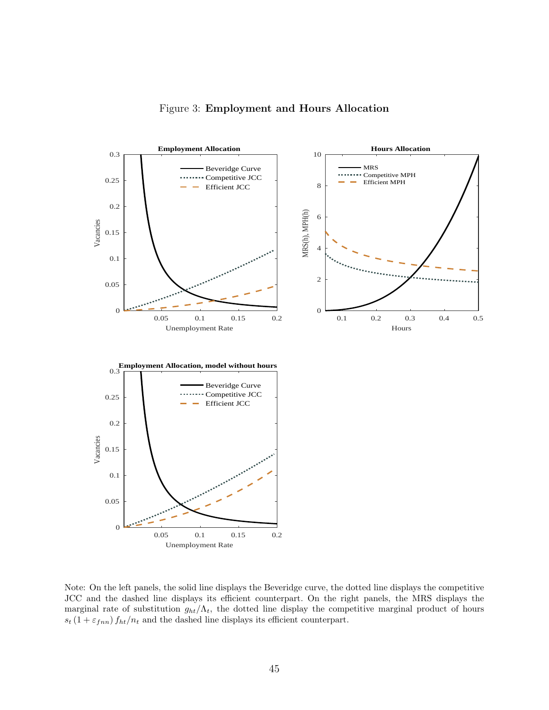



Note: On the left panels, the solid line displays the Beveridge curve, the dotted line displays the competitive JCC and the dashed line displays its efficient counterpart. On the right panels, the MRS displays the marginal rate of substitution  $g_{ht}/\Lambda_t$ , the dotted line display the competitive marginal product of hours  $s_t (1 + \varepsilon_{fnn}) f_{ht}/n_t$  and the dashed line displays its efficient counterpart.